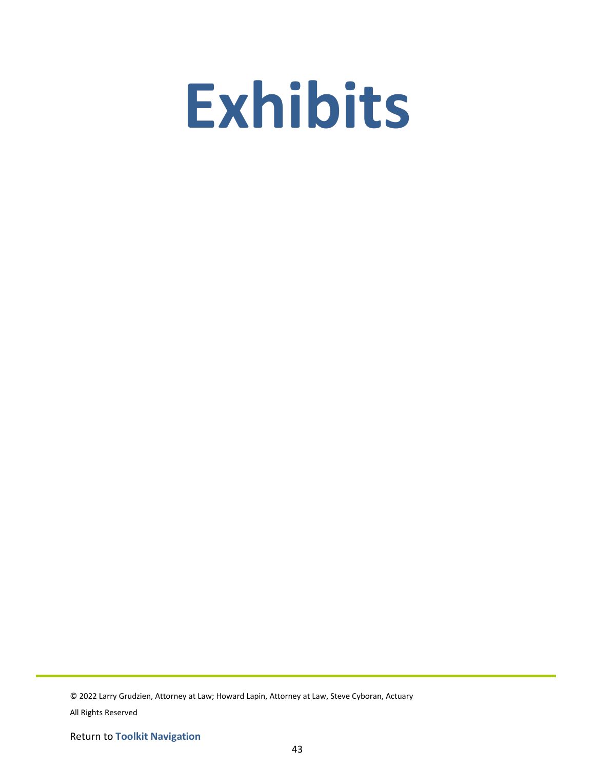# **Exhibits**

© 2022 Larry Grudzien, Attorney at Law; Howard Lapin, Attorney at Law, Steve Cyboran, Actuary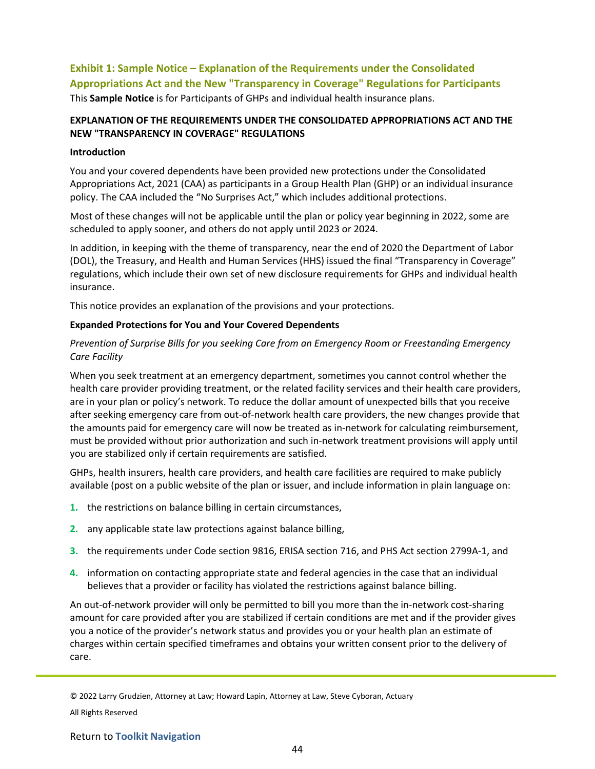# **Exhibit 1: Sample Notice – Explanation of the Requirements under the Consolidated Appropriations Act and the New "Transparency in Coverage" Regulations for Participants** This **Sample Notice** is for Participants of GHPs and individual health insurance plans.

## **EXPLANATION OF THE REQUIREMENTS UNDER THE CONSOLIDATED APPROPRIATIONS ACT AND THE NEW "TRANSPARENCY IN COVERAGE" REGULATIONS**

#### **Introduction**

You and your covered dependents have been provided new protections under the Consolidated Appropriations Act, 2021 (CAA) as participants in a Group Health Plan (GHP) or an individual insurance policy. The CAA included the "No Surprises Act," which includes additional protections.

Most of these changes will not be applicable until the plan or policy year beginning in 2022, some are scheduled to apply sooner, and others do not apply until 2023 or 2024.

In addition, in keeping with the theme of transparency, near the end of 2020 the Department of Labor (DOL), the Treasury, and Health and Human Services (HHS) issued the final "Transparency in Coverage" regulations, which include their own set of new disclosure requirements for GHPs and individual health insurance.

This notice provides an explanation of the provisions and your protections.

#### **Expanded Protections for You and Your Covered Dependents**

## *Prevention of Surprise Bills for you seeking Care from an Emergency Room or Freestanding Emergency Care Facility*

When you seek treatment at an emergency department, sometimes you cannot control whether the health care provider providing treatment, or the related facility services and their health care providers, are in your plan or policy's network. To reduce the dollar amount of unexpected bills that you receive after seeking emergency care from out-of-network health care providers, the new changes provide that the amounts paid for emergency care will now be treated as in-network for calculating reimbursement, must be provided without prior authorization and such in-network treatment provisions will apply until you are stabilized only if certain requirements are satisfied.

GHPs, health insurers, health care providers, and health care facilities are required to make publicly available (post on a public website of the plan or issuer, and include information in plain language on:

- **1.** the restrictions on balance billing in certain circumstances,
- **2.** any applicable state law protections against balance billing,
- **3.** the requirements under Code section 9816, ERISA section 716, and PHS Act section 2799A-1, and
- **4.** information on contacting appropriate state and federal agencies in the case that an individual believes that a provider or facility has violated the restrictions against balance billing.

An out-of-network provider will only be permitted to bill you more than the in-network cost-sharing amount for care provided after you are stabilized if certain conditions are met and if the provider gives you a notice of the provider's network status and provides you or your health plan an estimate of charges within certain specified timeframes and obtains your written consent prior to the delivery of care.

© 2022 Larry Grudzien, Attorney at Law; Howard Lapin, Attorney at Law, Steve Cyboran, Actuary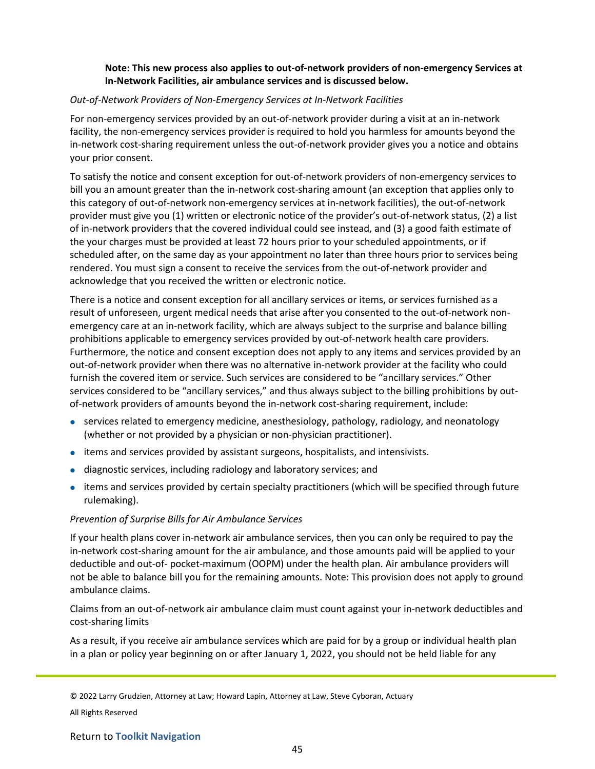## **Note: This new process also applies to out-of-network providers of non-emergency Services at In-Network Facilities, air ambulance services and is discussed below.**

#### *Out-of-Network Providers of Non-Emergency Services at In-Network Facilities*

For non-emergency services provided by an out-of-network provider during a visit at an in-network facility, the non-emergency services provider is required to hold you harmless for amounts beyond the in-network cost-sharing requirement unless the out-of-network provider gives you a notice and obtains your prior consent.

To satisfy the notice and consent exception for out-of-network providers of non-emergency services to bill you an amount greater than the in-network cost-sharing amount (an exception that applies only to this category of out-of-network non-emergency services at in-network facilities), the out-of-network provider must give you (1) written or electronic notice of the provider's out-of-network status, (2) a list of in-network providers that the covered individual could see instead, and (3) a good faith estimate of the your charges must be provided at least 72 hours prior to your scheduled appointments, or if scheduled after, on the same day as your appointment no later than three hours prior to services being rendered. You must sign a consent to receive the services from the out-of-network provider and acknowledge that you received the written or electronic notice.

There is a notice and consent exception for all ancillary services or items, or services furnished as a result of unforeseen, urgent medical needs that arise after you consented to the out-of-network nonemergency care at an in-network facility, which are always subject to the surprise and balance billing prohibitions applicable to emergency services provided by out-of-network health care providers. Furthermore, the notice and consent exception does not apply to any items and services provided by an out-of-network provider when there was no alternative in-network provider at the facility who could furnish the covered item or service. Such services are considered to be "ancillary services." Other services considered to be "ancillary services," and thus always subject to the billing prohibitions by outof-network providers of amounts beyond the in-network cost-sharing requirement, include:

- services related to emergency medicine, anesthesiology, pathology, radiology, and neonatology (whether or not provided by a physician or non-physician practitioner).
- items and services provided by assistant surgeons, hospitalists, and intensivists.
- diagnostic services, including radiology and laboratory services; and
- items and services provided by certain specialty practitioners (which will be specified through future rulemaking).

#### *Prevention of Surprise Bills for Air Ambulance Services*

If your health plans cover in-network air ambulance services, then you can only be required to pay the in-network cost-sharing amount for the air ambulance, and those amounts paid will be applied to your deductible and out-of- pocket-maximum (OOPM) under the health plan. Air ambulance providers will not be able to balance bill you for the remaining amounts. Note: This provision does not apply to ground ambulance claims.

Claims from an out-of-network air ambulance claim must count against your in-network deductibles and cost-sharing limits

As a result, if you receive air ambulance services which are paid for by a group or individual health plan in a plan or policy year beginning on or after January 1, 2022, you should not be held liable for any

© 2022 Larry Grudzien, Attorney at Law; Howard Lapin, Attorney at Law, Steve Cyboran, Actuary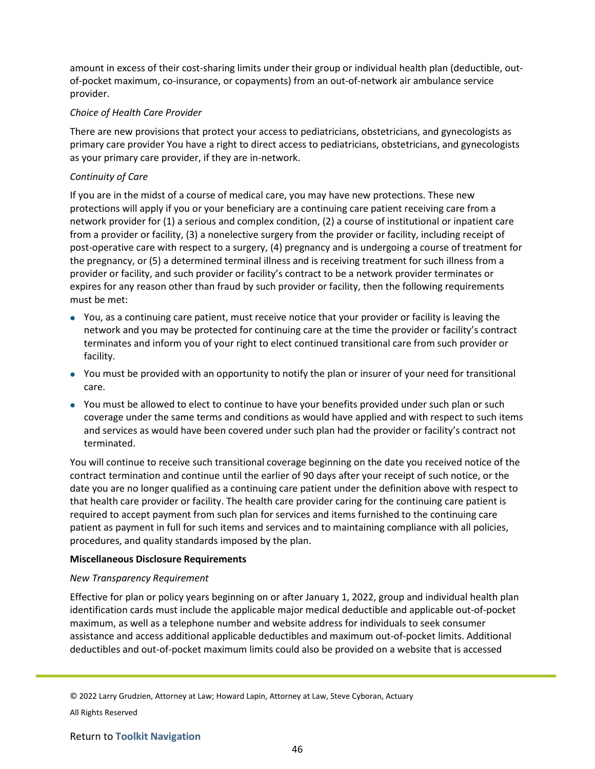amount in excess of their cost-sharing limits under their group or individual health plan (deductible, outof-pocket maximum, co-insurance, or copayments) from an out-of-network air ambulance service provider.

#### *Choice of Health Care Provider*

There are new provisions that protect your access to pediatricians, obstetricians, and gynecologists as primary care provider You have a right to direct access to pediatricians, obstetricians, and gynecologists as your primary care provider, if they are in-network.

## *Continuity of Care*

If you are in the midst of a course of medical care, you may have new protections. These new protections will apply if you or your beneficiary are a continuing care patient receiving care from a network provider for (1) a serious and complex condition, (2) a course of institutional or inpatient care from a provider or facility, (3) a nonelective surgery from the provider or facility, including receipt of post-operative care with respect to a surgery, (4) pregnancy and is undergoing a course of treatment for the pregnancy, or (5) a determined terminal illness and is receiving treatment for such illness from a provider or facility, and such provider or facility's contract to be a network provider terminates or expires for any reason other than fraud by such provider or facility, then the following requirements must be met:

- You, as a continuing care patient, must receive notice that your provider or facility is leaving the network and you may be protected for continuing care at the time the provider or facility's contract terminates and inform you of your right to elect continued transitional care from such provider or facility.
- You must be provided with an opportunity to notify the plan or insurer of your need for transitional care.
- You must be allowed to elect to continue to have your benefits provided under such plan or such coverage under the same terms and conditions as would have applied and with respect to such items and services as would have been covered under such plan had the provider or facility's contract not terminated.

You will continue to receive such transitional coverage beginning on the date you received notice of the contract termination and continue until the earlier of 90 days after your receipt of such notice, or the date you are no longer qualified as a continuing care patient under the definition above with respect to that health care provider or facility. The health care provider caring for the continuing care patient is required to accept payment from such plan for services and items furnished to the continuing care patient as payment in full for such items and services and to maintaining compliance with all policies, procedures, and quality standards imposed by the plan.

#### **Miscellaneous Disclosure Requirements**

#### *New Transparency Requirement*

Effective for plan or policy years beginning on or after January 1, 2022, group and individual health plan identification cards must include the applicable major medical deductible and applicable out-of-pocket maximum, as well as a telephone number and website address for individuals to seek consumer assistance and access additional applicable deductibles and maximum out-of-pocket limits. Additional deductibles and out-of-pocket maximum limits could also be provided on a website that is accessed

<sup>© 2022</sup> Larry Grudzien, Attorney at Law; Howard Lapin, Attorney at Law, Steve Cyboran, Actuary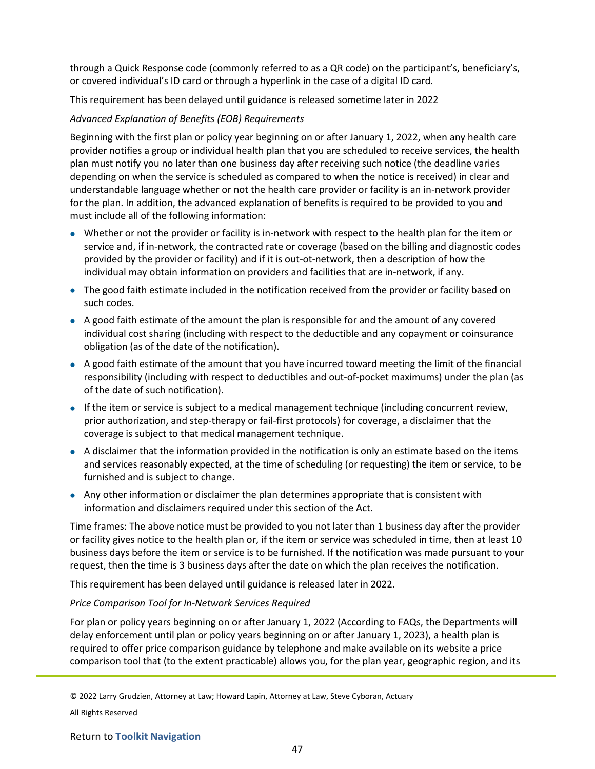through a Quick Response code (commonly referred to as a QR code) on the participant's, beneficiary's, or covered individual's ID card or through a hyperlink in the case of a digital ID card.

This requirement has been delayed until guidance is released sometime later in 2022

## *Advanced Explanation of Benefits (EOB) Requirements*

Beginning with the first plan or policy year beginning on or after January 1, 2022, when any health care provider notifies a group or individual health plan that you are scheduled to receive services, the health plan must notify you no later than one business day after receiving such notice (the deadline varies depending on when the service is scheduled as compared to when the notice is received) in clear and understandable language whether or not the health care provider or facility is an in-network provider for the plan. In addition, the advanced explanation of benefits is required to be provided to you and must include all of the following information:

- Whether or not the provider or facility is in-network with respect to the health plan for the item or service and, if in-network, the contracted rate or coverage (based on the billing and diagnostic codes provided by the provider or facility) and if it is out-ot-network, then a description of how the individual may obtain information on providers and facilities that are in-network, if any.
- The good faith estimate included in the notification received from the provider or facility based on such codes.
- A good faith estimate of the amount the plan is responsible for and the amount of any covered individual cost sharing (including with respect to the deductible and any copayment or coinsurance obligation (as of the date of the notification).
- A good faith estimate of the amount that you have incurred toward meeting the limit of the financial responsibility (including with respect to deductibles and out-of-pocket maximums) under the plan (as of the date of such notification).
- If the item or service is subject to a medical management technique (including concurrent review, prior authorization, and step-therapy or fail-first protocols) for coverage, a disclaimer that the coverage is subject to that medical management technique.
- A disclaimer that the information provided in the notification is only an estimate based on the items and services reasonably expected, at the time of scheduling (or requesting) the item or service, to be furnished and is subject to change.
- Any other information or disclaimer the plan determines appropriate that is consistent with information and disclaimers required under this section of the Act.

Time frames: The above notice must be provided to you not later than 1 business day after the provider or facility gives notice to the health plan or, if the item or service was scheduled in time, then at least 10 business days before the item or service is to be furnished. If the notification was made pursuant to your request, then the time is 3 business days after the date on which the plan receives the notification.

This requirement has been delayed until guidance is released later in 2022.

#### *Price Comparison Tool for In-Network Services Required*

For plan or policy years beginning on or after January 1, 2022 (According to FAQs, the Departments will delay enforcement until plan or policy years beginning on or after January 1, 2023), a health plan is required to offer price comparison guidance by telephone and make available on its website a price comparison tool that (to the extent practicable) allows you, for the plan year, geographic region, and its

© 2022 Larry Grudzien, Attorney at Law; Howard Lapin, Attorney at Law, Steve Cyboran, Actuary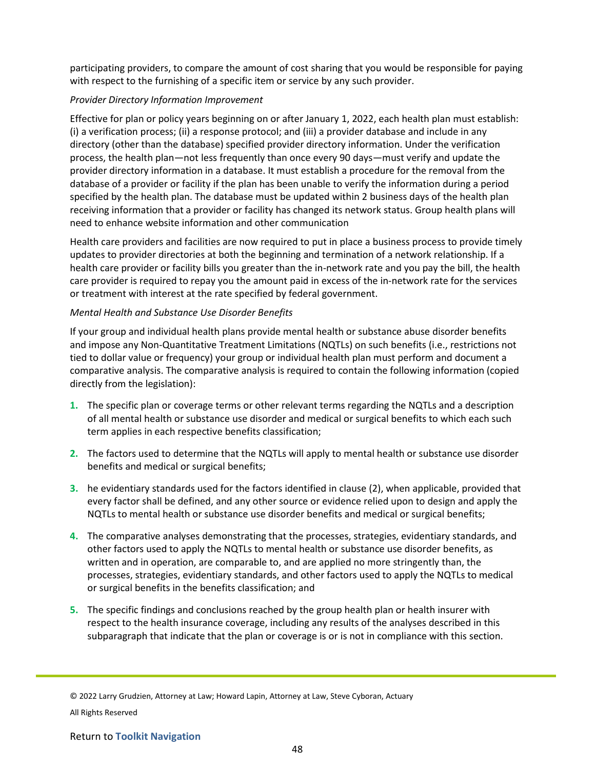participating providers, to compare the amount of cost sharing that you would be responsible for paying with respect to the furnishing of a specific item or service by any such provider.

## *Provider Directory Information Improvement*

Effective for plan or policy years beginning on or after January 1, 2022, each health plan must establish: (i) a verification process; (ii) a response protocol; and (iii) a provider database and include in any directory (other than the database) specified provider directory information. Under the verification process, the health plan—not less frequently than once every 90 days—must verify and update the provider directory information in a database. It must establish a procedure for the removal from the database of a provider or facility if the plan has been unable to verify the information during a period specified by the health plan. The database must be updated within 2 business days of the health plan receiving information that a provider or facility has changed its network status. Group health plans will need to enhance website information and other communication

Health care providers and facilities are now required to put in place a business process to provide timely updates to provider directories at both the beginning and termination of a network relationship. If a health care provider or facility bills you greater than the in-network rate and you pay the bill, the health care provider is required to repay you the amount paid in excess of the in-network rate for the services or treatment with interest at the rate specified by federal government.

## *Mental Health and Substance Use Disorder Benefits*

If your group and individual health plans provide mental health or substance abuse disorder benefits and impose any Non-Quantitative Treatment Limitations (NQTLs) on such benefits (i.e., restrictions not tied to dollar value or frequency) your group or individual health plan must perform and document a comparative analysis. The comparative analysis is required to contain the following information (copied directly from the legislation):

- **1.** The specific plan or coverage terms or other relevant terms regarding the NQTLs and a description of all mental health or substance use disorder and medical or surgical benefits to which each such term applies in each respective benefits classification;
- **2.** The factors used to determine that the NQTLs will apply to mental health or substance use disorder benefits and medical or surgical benefits;
- **3.** he evidentiary standards used for the factors identified in clause (2), when applicable, provided that every factor shall be defined, and any other source or evidence relied upon to design and apply the NQTLs to mental health or substance use disorder benefits and medical or surgical benefits;
- **4.** The comparative analyses demonstrating that the processes, strategies, evidentiary standards, and other factors used to apply the NQTLs to mental health or substance use disorder benefits, as written and in operation, are comparable to, and are applied no more stringently than, the processes, strategies, evidentiary standards, and other factors used to apply the NQTLs to medical or surgical benefits in the benefits classification; and
- **5.** The specific findings and conclusions reached by the group health plan or health insurer with respect to the health insurance coverage, including any results of the analyses described in this subparagraph that indicate that the plan or coverage is or is not in compliance with this section.

© 2022 Larry Grudzien, Attorney at Law; Howard Lapin, Attorney at Law, Steve Cyboran, Actuary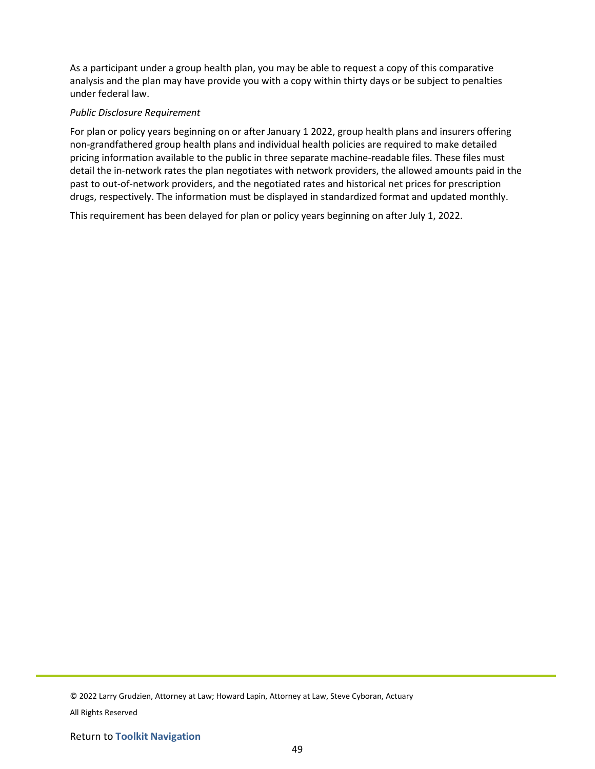As a participant under a group health plan, you may be able to request a copy of this comparative analysis and the plan may have provide you with a copy within thirty days or be subject to penalties under federal law.

#### *Public Disclosure Requirement*

For plan or policy years beginning on or after January 1 2022, group health plans and insurers offering non-grandfathered group health plans and individual health policies are required to make detailed pricing information available to the public in three separate machine-readable files. These files must detail the in-network rates the plan negotiates with network providers, the allowed amounts paid in the past to out-of-network providers, and the negotiated rates and historical net prices for prescription drugs, respectively. The information must be displayed in standardized format and updated monthly.

This requirement has been delayed for plan or policy years beginning on after July 1, 2022.

© 2022 Larry Grudzien, Attorney at Law; Howard Lapin, Attorney at Law, Steve Cyboran, Actuary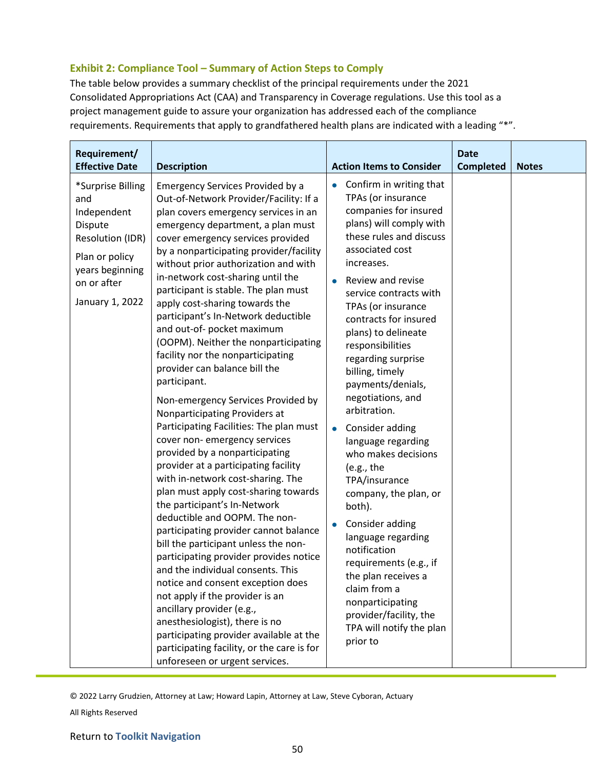# **Exhibit 2: Compliance Tool – Summary of Action Steps to Comply**

The table below provides a summary checklist of the principal requirements under the 2021 Consolidated Appropriations Act (CAA) and Transparency in Coverage regulations. Use this tool as a project management guide to assure your organization has addressed each of the compliance requirements. Requirements that apply to grandfathered health plans are indicated with a leading "\*".

| Requirement/<br><b>Effective Date</b>                                                                                                         | <b>Description</b>                                                                                                                                                                                                                                                                                                                                                                                                                                                                                                                                                                                                                                                                                                                                                                                                                                                                                                                                                                                                                                                                                                                                                                                                                                                                                                                                                                                                   | <b>Action Items to Consider</b>                                                                                                                                                                                                                                                                                                                                                                                                                                                                                                                                                                                                                                                                                                                                                                    | <b>Date</b><br><b>Completed</b> | <b>Notes</b> |
|-----------------------------------------------------------------------------------------------------------------------------------------------|----------------------------------------------------------------------------------------------------------------------------------------------------------------------------------------------------------------------------------------------------------------------------------------------------------------------------------------------------------------------------------------------------------------------------------------------------------------------------------------------------------------------------------------------------------------------------------------------------------------------------------------------------------------------------------------------------------------------------------------------------------------------------------------------------------------------------------------------------------------------------------------------------------------------------------------------------------------------------------------------------------------------------------------------------------------------------------------------------------------------------------------------------------------------------------------------------------------------------------------------------------------------------------------------------------------------------------------------------------------------------------------------------------------------|----------------------------------------------------------------------------------------------------------------------------------------------------------------------------------------------------------------------------------------------------------------------------------------------------------------------------------------------------------------------------------------------------------------------------------------------------------------------------------------------------------------------------------------------------------------------------------------------------------------------------------------------------------------------------------------------------------------------------------------------------------------------------------------------------|---------------------------------|--------------|
| *Surprise Billing<br>and<br>Independent<br>Dispute<br>Resolution (IDR)<br>Plan or policy<br>years beginning<br>on or after<br>January 1, 2022 | <b>Emergency Services Provided by a</b><br>Out-of-Network Provider/Facility: If a<br>plan covers emergency services in an<br>emergency department, a plan must<br>cover emergency services provided<br>by a nonparticipating provider/facility<br>without prior authorization and with<br>in-network cost-sharing until the<br>participant is stable. The plan must<br>apply cost-sharing towards the<br>participant's In-Network deductible<br>and out-of- pocket maximum<br>(OOPM). Neither the nonparticipating<br>facility nor the nonparticipating<br>provider can balance bill the<br>participant.<br>Non-emergency Services Provided by<br>Nonparticipating Providers at<br>Participating Facilities: The plan must<br>cover non-emergency services<br>provided by a nonparticipating<br>provider at a participating facility<br>with in-network cost-sharing. The<br>plan must apply cost-sharing towards<br>the participant's In-Network<br>deductible and OOPM. The non-<br>participating provider cannot balance<br>bill the participant unless the non-<br>participating provider provides notice<br>and the individual consents. This<br>notice and consent exception does<br>not apply if the provider is an<br>ancillary provider (e.g.,<br>anesthesiologist), there is no<br>participating provider available at the<br>participating facility, or the care is for<br>unforeseen or urgent services. | Confirm in writing that<br>$\bullet$<br>TPAs (or insurance<br>companies for insured<br>plans) will comply with<br>these rules and discuss<br>associated cost<br>increases.<br>Review and revise<br>service contracts with<br>TPAs (or insurance<br>contracts for insured<br>plans) to delineate<br>responsibilities<br>regarding surprise<br>billing, timely<br>payments/denials,<br>negotiations, and<br>arbitration.<br>Consider adding<br>$\bullet$<br>language regarding<br>who makes decisions<br>(e.g., the<br>TPA/insurance<br>company, the plan, or<br>both).<br>Consider adding<br>$\bullet$<br>language regarding<br>notification<br>requirements (e.g., if<br>the plan receives a<br>claim from a<br>nonparticipating<br>provider/facility, the<br>TPA will notify the plan<br>prior to |                                 |              |

© 2022 Larry Grudzien, Attorney at Law; Howard Lapin, Attorney at Law, Steve Cyboran, Actuary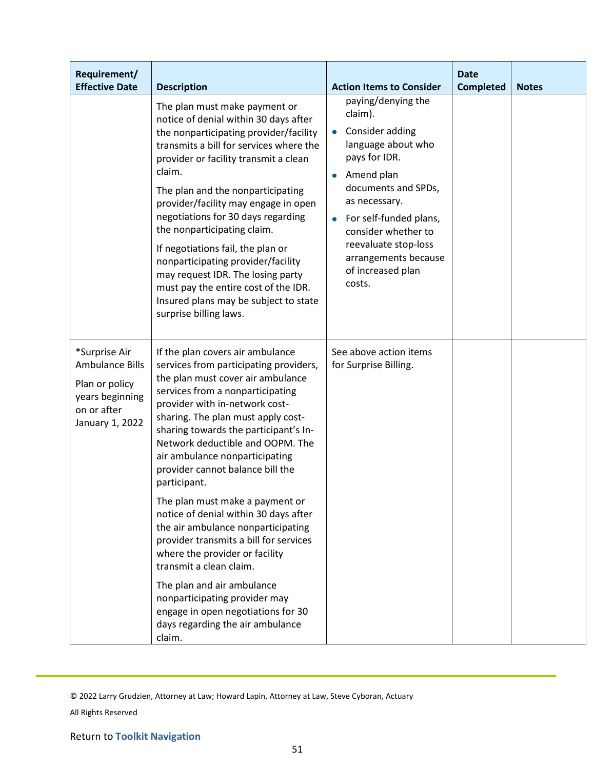| Requirement/<br><b>Effective Date</b>                                                                          | <b>Description</b>                                                                                                                                                                                                                                                                                                                                                                                                                                                                                                                                                                          | <b>Action Items to Consider</b>                                                                                                                                                                                                                                                                                      | <b>Date</b><br><b>Completed</b> | <b>Notes</b> |
|----------------------------------------------------------------------------------------------------------------|---------------------------------------------------------------------------------------------------------------------------------------------------------------------------------------------------------------------------------------------------------------------------------------------------------------------------------------------------------------------------------------------------------------------------------------------------------------------------------------------------------------------------------------------------------------------------------------------|----------------------------------------------------------------------------------------------------------------------------------------------------------------------------------------------------------------------------------------------------------------------------------------------------------------------|---------------------------------|--------------|
|                                                                                                                | The plan must make payment or<br>notice of denial within 30 days after<br>the nonparticipating provider/facility<br>transmits a bill for services where the<br>provider or facility transmit a clean<br>claim.<br>The plan and the nonparticipating<br>provider/facility may engage in open<br>negotiations for 30 days regarding<br>the nonparticipating claim.<br>If negotiations fail, the plan or<br>nonparticipating provider/facility<br>may request IDR. The losing party<br>must pay the entire cost of the IDR.<br>Insured plans may be subject to state<br>surprise billing laws. | paying/denying the<br>claim).<br>Consider adding<br>$\bullet$<br>language about who<br>pays for IDR.<br>Amend plan<br>$\bullet$<br>documents and SPDs,<br>as necessary.<br>For self-funded plans,<br>$\bullet$<br>consider whether to<br>reevaluate stop-loss<br>arrangements because<br>of increased plan<br>costs. |                                 |              |
| *Surprise Air<br><b>Ambulance Bills</b><br>Plan or policy<br>years beginning<br>on or after<br>January 1, 2022 | If the plan covers air ambulance<br>services from participating providers,<br>the plan must cover air ambulance<br>services from a nonparticipating<br>provider with in-network cost-<br>sharing. The plan must apply cost-<br>sharing towards the participant's In-<br>Network deductible and OOPM. The<br>air ambulance nonparticipating<br>provider cannot balance bill the<br>participant.<br>The plan must make a payment or<br>notice of denial within 30 days after<br>the air ambulance nonparticipating<br>provider transmits a bill for services                                  | See above action items<br>for Surprise Billing.                                                                                                                                                                                                                                                                      |                                 |              |
|                                                                                                                | where the provider or facility<br>transmit a clean claim.<br>The plan and air ambulance<br>nonparticipating provider may<br>engage in open negotiations for 30<br>days regarding the air ambulance<br>claim.                                                                                                                                                                                                                                                                                                                                                                                |                                                                                                                                                                                                                                                                                                                      |                                 |              |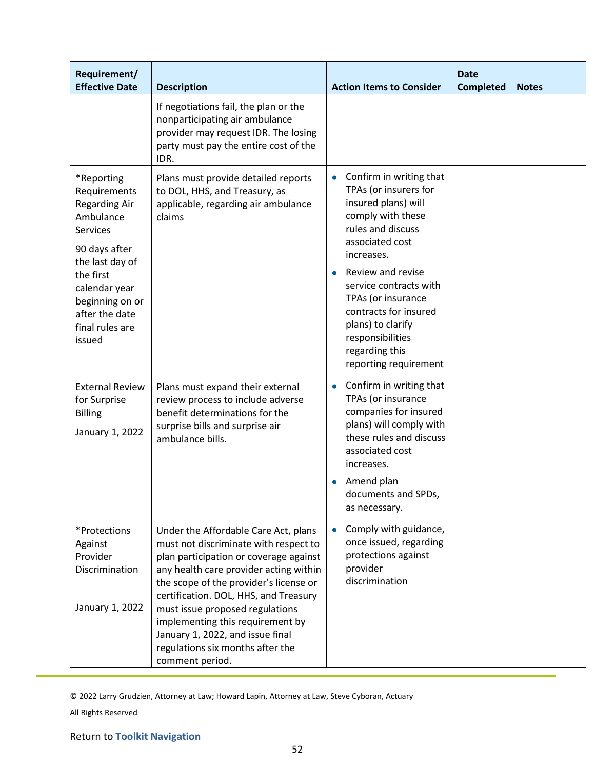| Requirement/<br><b>Effective Date</b>                                                                                                                                                                                  | <b>Description</b>                                                                                                                                                                                                                                                                                                                                                                                                     | <b>Action Items to Consider</b>                                                                                                                                                                                                                                                                                                                   | <b>Date</b><br><b>Completed</b> | <b>Notes</b> |
|------------------------------------------------------------------------------------------------------------------------------------------------------------------------------------------------------------------------|------------------------------------------------------------------------------------------------------------------------------------------------------------------------------------------------------------------------------------------------------------------------------------------------------------------------------------------------------------------------------------------------------------------------|---------------------------------------------------------------------------------------------------------------------------------------------------------------------------------------------------------------------------------------------------------------------------------------------------------------------------------------------------|---------------------------------|--------------|
|                                                                                                                                                                                                                        | If negotiations fail, the plan or the<br>nonparticipating air ambulance<br>provider may request IDR. The losing<br>party must pay the entire cost of the<br>IDR.                                                                                                                                                                                                                                                       |                                                                                                                                                                                                                                                                                                                                                   |                                 |              |
| *Reporting<br>Requirements<br><b>Regarding Air</b><br>Ambulance<br><b>Services</b><br>90 days after<br>the last day of<br>the first<br>calendar year<br>beginning on or<br>after the date<br>final rules are<br>issued | Plans must provide detailed reports<br>to DOL, HHS, and Treasury, as<br>applicable, regarding air ambulance<br>claims                                                                                                                                                                                                                                                                                                  | Confirm in writing that<br>$\bullet$<br>TPAs (or insurers for<br>insured plans) will<br>comply with these<br>rules and discuss<br>associated cost<br>increases.<br>Review and revise<br>service contracts with<br>TPAs (or insurance<br>contracts for insured<br>plans) to clarify<br>responsibilities<br>regarding this<br>reporting requirement |                                 |              |
| <b>External Review</b><br>for Surprise<br><b>Billing</b><br>January 1, 2022                                                                                                                                            | Plans must expand their external<br>review process to include adverse<br>benefit determinations for the<br>surprise bills and surprise air<br>ambulance bills.                                                                                                                                                                                                                                                         | Confirm in writing that<br>$\bullet$<br>TPAs (or insurance<br>companies for insured<br>plans) will comply with<br>these rules and discuss<br>associated cost<br>increases.<br>Amend plan<br>documents and SPDs,<br>as necessary.                                                                                                                  |                                 |              |
| *Protections<br>Against<br>Provider<br>Discrimination<br>January 1, 2022                                                                                                                                               | Under the Affordable Care Act, plans<br>must not discriminate with respect to<br>plan participation or coverage against<br>any health care provider acting within<br>the scope of the provider's license or<br>certification. DOL, HHS, and Treasury<br>must issue proposed regulations<br>implementing this requirement by<br>January 1, 2022, and issue final<br>regulations six months after the<br>comment period. | Comply with guidance,<br>$\bullet$<br>once issued, regarding<br>protections against<br>provider<br>discrimination                                                                                                                                                                                                                                 |                                 |              |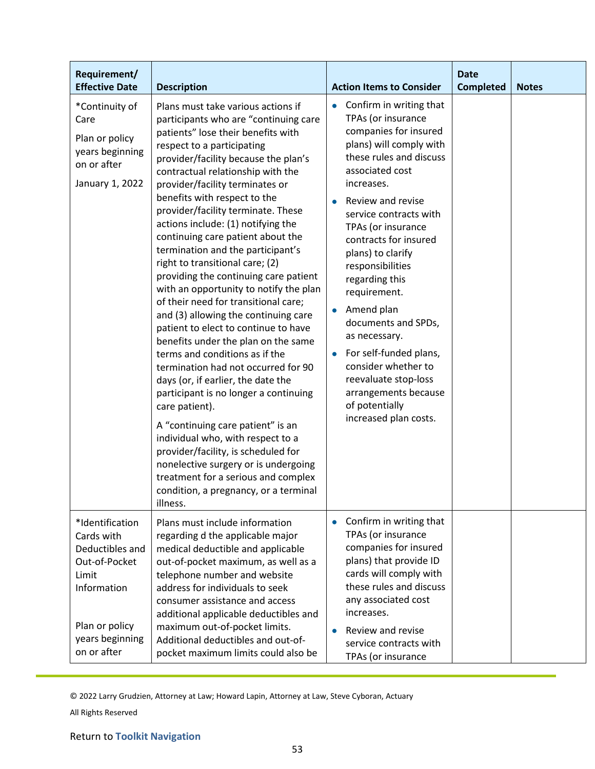| Requirement/<br><b>Effective Date</b>                                                                                                         | <b>Description</b>                                                                                                                                                                                                                                                                                                                                                                                                                                                                                                                                                                                                                                                                                                                                                                                                                                                                                                                                                                                                                                                                                                                                                        | <b>Action Items to Consider</b>                                                                                                                                                                                                                                                                                                                                                                                                                                                                                                                                                 | <b>Date</b><br><b>Completed</b> | <b>Notes</b> |
|-----------------------------------------------------------------------------------------------------------------------------------------------|---------------------------------------------------------------------------------------------------------------------------------------------------------------------------------------------------------------------------------------------------------------------------------------------------------------------------------------------------------------------------------------------------------------------------------------------------------------------------------------------------------------------------------------------------------------------------------------------------------------------------------------------------------------------------------------------------------------------------------------------------------------------------------------------------------------------------------------------------------------------------------------------------------------------------------------------------------------------------------------------------------------------------------------------------------------------------------------------------------------------------------------------------------------------------|---------------------------------------------------------------------------------------------------------------------------------------------------------------------------------------------------------------------------------------------------------------------------------------------------------------------------------------------------------------------------------------------------------------------------------------------------------------------------------------------------------------------------------------------------------------------------------|---------------------------------|--------------|
| *Continuity of<br>Care<br>Plan or policy<br>years beginning<br>on or after<br>January 1, 2022                                                 | Plans must take various actions if<br>participants who are "continuing care<br>patients" lose their benefits with<br>respect to a participating<br>provider/facility because the plan's<br>contractual relationship with the<br>provider/facility terminates or<br>benefits with respect to the<br>provider/facility terminate. These<br>actions include: (1) notifying the<br>continuing care patient about the<br>termination and the participant's<br>right to transitional care; (2)<br>providing the continuing care patient<br>with an opportunity to notify the plan<br>of their need for transitional care;<br>and (3) allowing the continuing care<br>patient to elect to continue to have<br>benefits under the plan on the same<br>terms and conditions as if the<br>termination had not occurred for 90<br>days (or, if earlier, the date the<br>participant is no longer a continuing<br>care patient).<br>A "continuing care patient" is an<br>individual who, with respect to a<br>provider/facility, is scheduled for<br>nonelective surgery or is undergoing<br>treatment for a serious and complex<br>condition, a pregnancy, or a terminal<br>illness. | Confirm in writing that<br>$\bullet$<br>TPAs (or insurance<br>companies for insured<br>plans) will comply with<br>these rules and discuss<br>associated cost<br>increases.<br>Review and revise<br>service contracts with<br>TPAs (or insurance<br>contracts for insured<br>plans) to clarify<br>responsibilities<br>regarding this<br>requirement.<br>Amend plan<br>$\bullet$<br>documents and SPDs,<br>as necessary.<br>For self-funded plans,<br>$\bullet$<br>consider whether to<br>reevaluate stop-loss<br>arrangements because<br>of potentially<br>increased plan costs. |                                 |              |
| *Identification<br>Cards with<br>Deductibles and<br>Out-of-Pocket<br>Limit<br>Information<br>Plan or policy<br>years beginning<br>on or after | Plans must include information<br>regarding d the applicable major<br>medical deductible and applicable<br>out-of-pocket maximum, as well as a<br>telephone number and website<br>address for individuals to seek<br>consumer assistance and access<br>additional applicable deductibles and<br>maximum out-of-pocket limits.<br>Additional deductibles and out-of-<br>pocket maximum limits could also be                                                                                                                                                                                                                                                                                                                                                                                                                                                                                                                                                                                                                                                                                                                                                                | Confirm in writing that<br>$\bullet$<br>TPAs (or insurance<br>companies for insured<br>plans) that provide ID<br>cards will comply with<br>these rules and discuss<br>any associated cost<br>increases.<br>Review and revise<br>$\bullet$<br>service contracts with<br>TPAs (or insurance                                                                                                                                                                                                                                                                                       |                                 |              |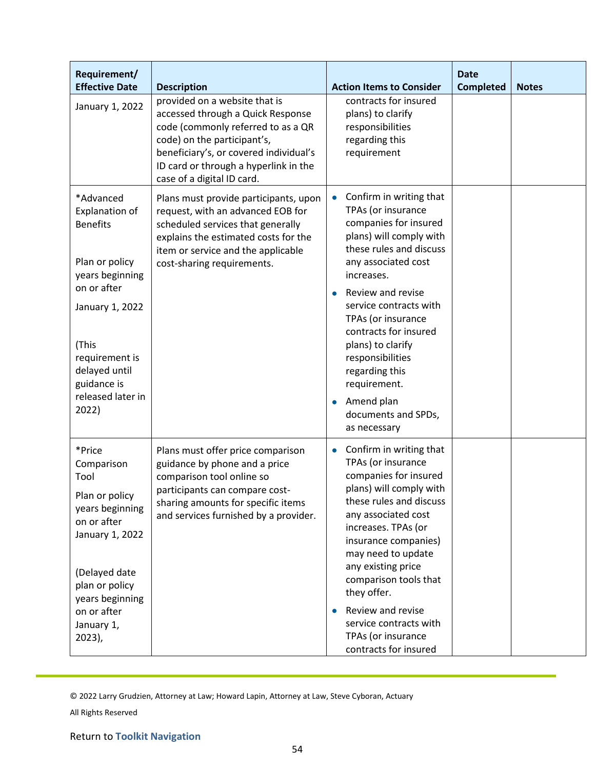| Requirement/<br><b>Effective Date</b>                                                                                | <b>Description</b>                                                                                                                                                                                                                                       | <b>Action Items to Consider</b>                                                                                                                                                                                                                                                                    | <b>Date</b><br><b>Completed</b> | <b>Notes</b> |
|----------------------------------------------------------------------------------------------------------------------|----------------------------------------------------------------------------------------------------------------------------------------------------------------------------------------------------------------------------------------------------------|----------------------------------------------------------------------------------------------------------------------------------------------------------------------------------------------------------------------------------------------------------------------------------------------------|---------------------------------|--------------|
| January 1, 2022                                                                                                      | provided on a website that is<br>accessed through a Quick Response<br>code (commonly referred to as a QR<br>code) on the participant's,<br>beneficiary's, or covered individual's<br>ID card or through a hyperlink in the<br>case of a digital ID card. | contracts for insured<br>plans) to clarify<br>responsibilities<br>regarding this<br>requirement                                                                                                                                                                                                    |                                 |              |
| *Advanced<br><b>Explanation of</b><br><b>Benefits</b><br>Plan or policy<br>years beginning<br>on or after            | Plans must provide participants, upon<br>request, with an advanced EOB for<br>scheduled services that generally<br>explains the estimated costs for the<br>item or service and the applicable<br>cost-sharing requirements.                              | Confirm in writing that<br>$\bullet$<br>TPAs (or insurance<br>companies for insured<br>plans) will comply with<br>these rules and discuss<br>any associated cost<br>increases.<br>Review and revise                                                                                                |                                 |              |
| January 1, 2022<br>(This<br>requirement is<br>delayed until<br>guidance is<br>released later in<br>2022)             |                                                                                                                                                                                                                                                          | service contracts with<br>TPAs (or insurance<br>contracts for insured<br>plans) to clarify<br>responsibilities<br>regarding this<br>requirement.<br>Amend plan<br>$\bullet$                                                                                                                        |                                 |              |
| *Price<br>Comparison<br>Tool<br>Plan or policy<br>years beginning<br>on or after<br>January 1, 2022<br>(Delayed date | Plans must offer price comparison<br>guidance by phone and a price<br>comparison tool online so<br>participants can compare cost-<br>sharing amounts for specific items<br>and services furnished by a provider.                                         | documents and SPDs,<br>as necessary<br>Confirm in writing that<br>$\bullet$<br>TPAs (or insurance<br>companies for insured<br>plans) will comply with<br>these rules and discuss<br>any associated cost<br>increases. TPAs (or<br>insurance companies)<br>may need to update<br>any existing price |                                 |              |
| plan or policy<br>years beginning<br>on or after<br>January 1,<br>$2023$ ),                                          |                                                                                                                                                                                                                                                          | comparison tools that<br>they offer.<br>Review and revise<br>service contracts with<br>TPAs (or insurance<br>contracts for insured                                                                                                                                                                 |                                 |              |

All Rights Reserved

# Return to **Toolkit Navigation**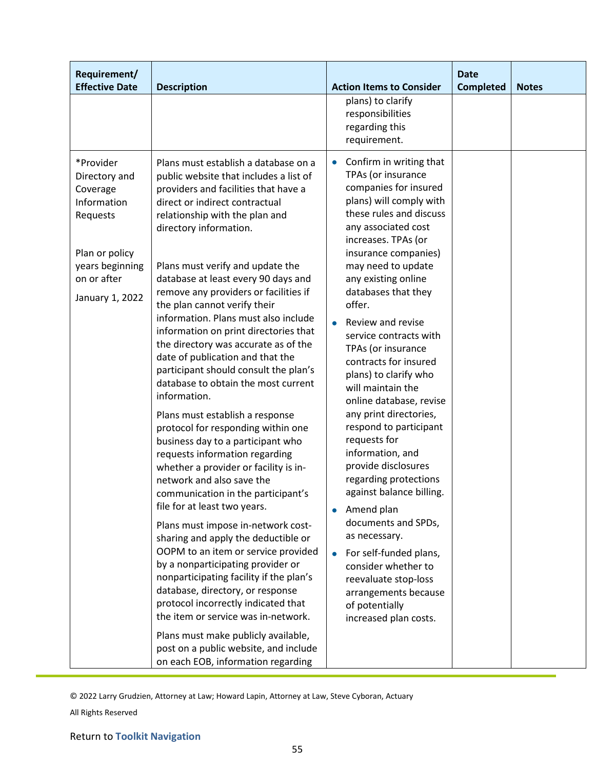| Requirement/<br><b>Effective Date</b>                                                                                                    | <b>Description</b>                                                                                                                                                                                                                                                                                                                                                                                                                                                                                                                                                                                                                                                                                                                                                                                                                                                                                                                                                                                                                                                                                                                                                                                                                                                                                                                                                            | <b>Action Items to Consider</b>                                                                                                                                                                                                                                                                                                                                                                                                                                                                                                                                                                                                                                                                                                                                                                                                                                      | <b>Date</b><br><b>Completed</b> | <b>Notes</b> |
|------------------------------------------------------------------------------------------------------------------------------------------|-------------------------------------------------------------------------------------------------------------------------------------------------------------------------------------------------------------------------------------------------------------------------------------------------------------------------------------------------------------------------------------------------------------------------------------------------------------------------------------------------------------------------------------------------------------------------------------------------------------------------------------------------------------------------------------------------------------------------------------------------------------------------------------------------------------------------------------------------------------------------------------------------------------------------------------------------------------------------------------------------------------------------------------------------------------------------------------------------------------------------------------------------------------------------------------------------------------------------------------------------------------------------------------------------------------------------------------------------------------------------------|----------------------------------------------------------------------------------------------------------------------------------------------------------------------------------------------------------------------------------------------------------------------------------------------------------------------------------------------------------------------------------------------------------------------------------------------------------------------------------------------------------------------------------------------------------------------------------------------------------------------------------------------------------------------------------------------------------------------------------------------------------------------------------------------------------------------------------------------------------------------|---------------------------------|--------------|
|                                                                                                                                          |                                                                                                                                                                                                                                                                                                                                                                                                                                                                                                                                                                                                                                                                                                                                                                                                                                                                                                                                                                                                                                                                                                                                                                                                                                                                                                                                                                               | plans) to clarify<br>responsibilities<br>regarding this<br>requirement.                                                                                                                                                                                                                                                                                                                                                                                                                                                                                                                                                                                                                                                                                                                                                                                              |                                 |              |
| *Provider<br>Directory and<br>Coverage<br>Information<br>Requests<br>Plan or policy<br>years beginning<br>on or after<br>January 1, 2022 | Plans must establish a database on a<br>public website that includes a list of<br>providers and facilities that have a<br>direct or indirect contractual<br>relationship with the plan and<br>directory information.<br>Plans must verify and update the<br>database at least every 90 days and<br>remove any providers or facilities if<br>the plan cannot verify their<br>information. Plans must also include<br>information on print directories that<br>the directory was accurate as of the<br>date of publication and that the<br>participant should consult the plan's<br>database to obtain the most current<br>information.<br>Plans must establish a response<br>protocol for responding within one<br>business day to a participant who<br>requests information regarding<br>whether a provider or facility is in-<br>network and also save the<br>communication in the participant's<br>file for at least two years.<br>Plans must impose in-network cost-<br>sharing and apply the deductible or<br>OOPM to an item or service provided<br>by a nonparticipating provider or<br>nonparticipating facility if the plan's<br>database, directory, or response<br>protocol incorrectly indicated that<br>the item or service was in-network.<br>Plans must make publicly available,<br>post on a public website, and include<br>on each EOB, information regarding | Confirm in writing that<br>$\bullet$<br>TPAs (or insurance<br>companies for insured<br>plans) will comply with<br>these rules and discuss<br>any associated cost<br>increases. TPAs (or<br>insurance companies)<br>may need to update<br>any existing online<br>databases that they<br>offer.<br>Review and revise<br>service contracts with<br>TPAs (or insurance<br>contracts for insured<br>plans) to clarify who<br>will maintain the<br>online database, revise<br>any print directories,<br>respond to participant<br>requests for<br>information, and<br>provide disclosures<br>regarding protections<br>against balance billing.<br>Amend plan<br>$\bullet$<br>documents and SPDs,<br>as necessary.<br>For self-funded plans,<br>$\bullet$<br>consider whether to<br>reevaluate stop-loss<br>arrangements because<br>of potentially<br>increased plan costs. |                                 |              |

<sup>© 2022</sup> Larry Grudzien, Attorney at Law; Howard Lapin, Attorney at Law, Steve Cyboran, Actuary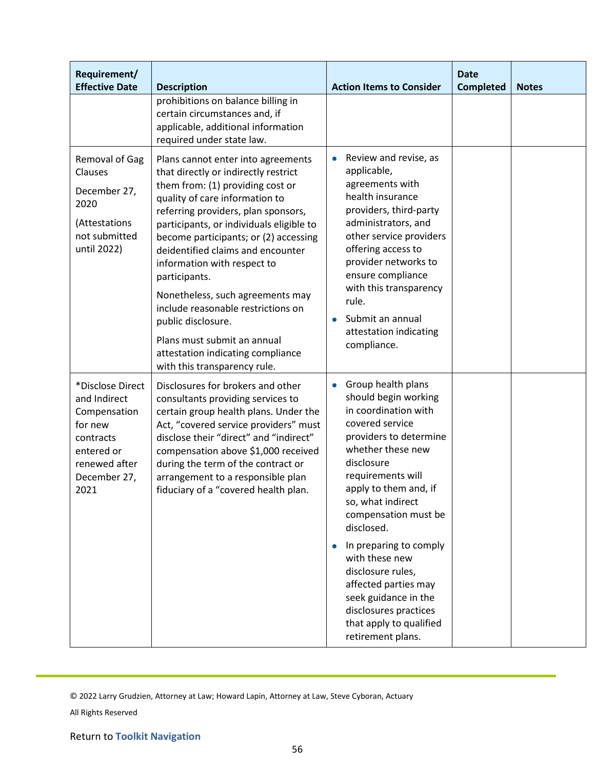| Requirement/                                                                                                                    |                                                                                                                                                                                                                                                                                                                                                                                                                                                                                                                                                                       |                                                                                                                                                                                                                                                                                                                                                                                                                                                                                 | <b>Date</b>      |              |
|---------------------------------------------------------------------------------------------------------------------------------|-----------------------------------------------------------------------------------------------------------------------------------------------------------------------------------------------------------------------------------------------------------------------------------------------------------------------------------------------------------------------------------------------------------------------------------------------------------------------------------------------------------------------------------------------------------------------|---------------------------------------------------------------------------------------------------------------------------------------------------------------------------------------------------------------------------------------------------------------------------------------------------------------------------------------------------------------------------------------------------------------------------------------------------------------------------------|------------------|--------------|
| <b>Effective Date</b>                                                                                                           | <b>Description</b><br>prohibitions on balance billing in<br>certain circumstances and, if<br>applicable, additional information<br>required under state law.                                                                                                                                                                                                                                                                                                                                                                                                          | <b>Action Items to Consider</b>                                                                                                                                                                                                                                                                                                                                                                                                                                                 | <b>Completed</b> | <b>Notes</b> |
| Removal of Gag<br>Clauses<br>December 27,<br>2020<br>(Attestations<br>not submitted<br>until 2022)                              | Plans cannot enter into agreements<br>that directly or indirectly restrict<br>them from: (1) providing cost or<br>quality of care information to<br>referring providers, plan sponsors,<br>participants, or individuals eligible to<br>become participants; or (2) accessing<br>deidentified claims and encounter<br>information with respect to<br>participants.<br>Nonetheless, such agreements may<br>include reasonable restrictions on<br>public disclosure.<br>Plans must submit an annual<br>attestation indicating compliance<br>with this transparency rule. | Review and revise, as<br>applicable,<br>agreements with<br>health insurance<br>providers, third-party<br>administrators, and<br>other service providers<br>offering access to<br>provider networks to<br>ensure compliance<br>with this transparency<br>rule.<br>Submit an annual<br>attestation indicating<br>compliance.                                                                                                                                                      |                  |              |
| *Disclose Direct<br>and Indirect<br>Compensation<br>for new<br>contracts<br>entered or<br>renewed after<br>December 27,<br>2021 | Disclosures for brokers and other<br>consultants providing services to<br>certain group health plans. Under the<br>Act, "covered service providers" must<br>disclose their "direct" and "indirect"<br>compensation above \$1,000 received<br>during the term of the contract or<br>arrangement to a responsible plan<br>fiduciary of a "covered health plan.                                                                                                                                                                                                          | Group health plans<br>$\bullet$<br>should begin working<br>in coordination with<br>covered service<br>providers to determine<br>whether these new<br>disclosure<br>requirements will<br>apply to them and, if<br>so, what indirect<br>compensation must be<br>disclosed.<br>In preparing to comply<br>$\bullet$<br>with these new<br>disclosure rules,<br>affected parties may<br>seek guidance in the<br>disclosures practices<br>that apply to qualified<br>retirement plans. |                  |              |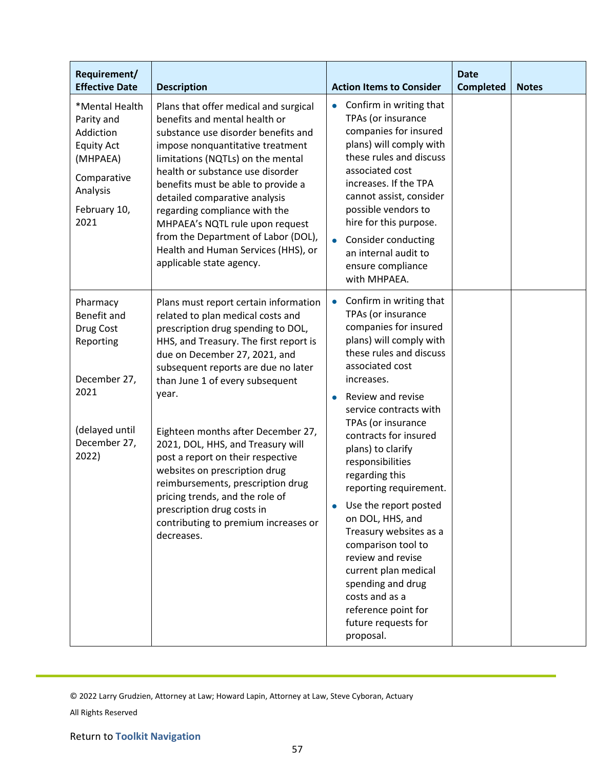| Requirement/<br><b>Effective Date</b>                                                                                         | <b>Description</b>                                                                                                                                                                                                                                                                                                                                                                                                                                                                                                                                                                          | <b>Action Items to Consider</b>                                                                                                                                                                                                                                                                                                                                                                                                                                                                                                                                                                                        | <b>Date</b><br><b>Completed</b> | <b>Notes</b> |
|-------------------------------------------------------------------------------------------------------------------------------|---------------------------------------------------------------------------------------------------------------------------------------------------------------------------------------------------------------------------------------------------------------------------------------------------------------------------------------------------------------------------------------------------------------------------------------------------------------------------------------------------------------------------------------------------------------------------------------------|------------------------------------------------------------------------------------------------------------------------------------------------------------------------------------------------------------------------------------------------------------------------------------------------------------------------------------------------------------------------------------------------------------------------------------------------------------------------------------------------------------------------------------------------------------------------------------------------------------------------|---------------------------------|--------------|
| *Mental Health<br>Parity and<br>Addiction<br><b>Equity Act</b><br>(MHPAEA)<br>Comparative<br>Analysis<br>February 10,<br>2021 | Plans that offer medical and surgical<br>benefits and mental health or<br>substance use disorder benefits and<br>impose nonquantitative treatment<br>limitations (NQTLs) on the mental<br>health or substance use disorder<br>benefits must be able to provide a<br>detailed comparative analysis<br>regarding compliance with the<br>MHPAEA's NQTL rule upon request<br>from the Department of Labor (DOL),<br>Health and Human Services (HHS), or<br>applicable state agency.                                                                                                             | Confirm in writing that<br>$\bullet$<br>TPAs (or insurance<br>companies for insured<br>plans) will comply with<br>these rules and discuss<br>associated cost<br>increases. If the TPA<br>cannot assist, consider<br>possible vendors to<br>hire for this purpose.<br>Consider conducting<br>$\bullet$<br>an internal audit to<br>ensure compliance<br>with MHPAEA.                                                                                                                                                                                                                                                     |                                 |              |
| Pharmacy<br>Benefit and<br>Drug Cost<br>Reporting<br>December 27,<br>2021<br>(delayed until<br>December 27,<br>2022)          | Plans must report certain information<br>related to plan medical costs and<br>prescription drug spending to DOL,<br>HHS, and Treasury. The first report is<br>due on December 27, 2021, and<br>subsequent reports are due no later<br>than June 1 of every subsequent<br>year.<br>Eighteen months after December 27,<br>2021, DOL, HHS, and Treasury will<br>post a report on their respective<br>websites on prescription drug<br>reimbursements, prescription drug<br>pricing trends, and the role of<br>prescription drug costs in<br>contributing to premium increases or<br>decreases. | Confirm in writing that<br>$\bullet$<br>TPAs (or insurance<br>companies for insured<br>plans) will comply with<br>these rules and discuss<br>associated cost<br>increases.<br>Review and revise<br>$\bullet$<br>service contracts with<br>TPAs (or insurance<br>contracts for insured<br>plans) to clarify<br>responsibilities<br>regarding this<br>reporting requirement.<br>Use the report posted<br>on DOL, HHS, and<br>Treasury websites as a<br>comparison tool to<br>review and revise<br>current plan medical<br>spending and drug<br>costs and as a<br>reference point for<br>future requests for<br>proposal. |                                 |              |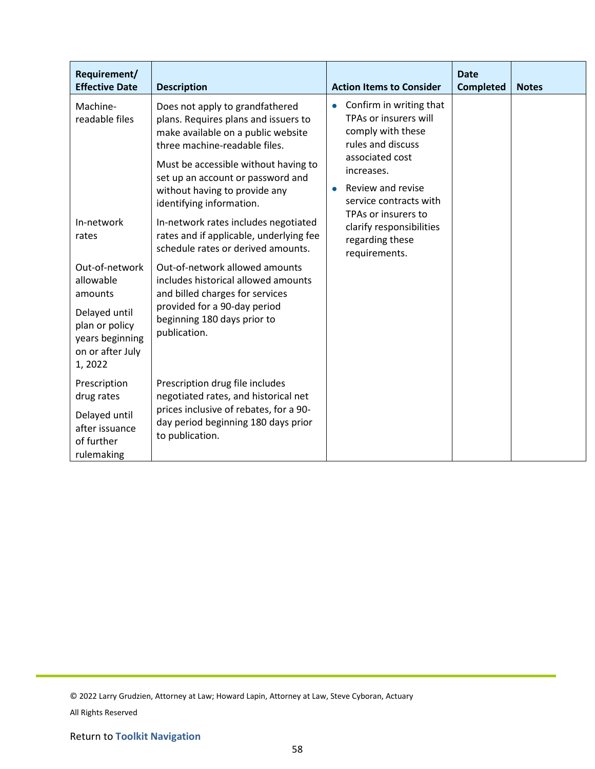| Requirement/<br><b>Effective Date</b>                                                                                      | <b>Description</b>                                                                                                                                                                                                                                                                                                                                                                                                | <b>Action Items to Consider</b>                                                                                                                                                                                                                                            | <b>Date</b><br><b>Completed</b> | <b>Notes</b> |
|----------------------------------------------------------------------------------------------------------------------------|-------------------------------------------------------------------------------------------------------------------------------------------------------------------------------------------------------------------------------------------------------------------------------------------------------------------------------------------------------------------------------------------------------------------|----------------------------------------------------------------------------------------------------------------------------------------------------------------------------------------------------------------------------------------------------------------------------|---------------------------------|--------------|
| Machine-<br>readable files<br>In-network<br>rates                                                                          | Does not apply to grandfathered<br>plans. Requires plans and issuers to<br>make available on a public website<br>three machine-readable files.<br>Must be accessible without having to<br>set up an account or password and<br>without having to provide any<br>identifying information.<br>In-network rates includes negotiated<br>rates and if applicable, underlying fee<br>schedule rates or derived amounts. | Confirm in writing that<br>$\bullet$<br>TPAs or insurers will<br>comply with these<br>rules and discuss<br>associated cost<br>increases.<br>Review and revise<br>$\bullet$<br>service contracts with<br>TPAs or insurers to<br>clarify responsibilities<br>regarding these |                                 |              |
| Out-of-network<br>allowable<br>amounts<br>Delayed until<br>plan or policy<br>years beginning<br>on or after July<br>1,2022 | Out-of-network allowed amounts<br>includes historical allowed amounts<br>and billed charges for services<br>provided for a 90-day period<br>beginning 180 days prior to<br>publication.                                                                                                                                                                                                                           | requirements.                                                                                                                                                                                                                                                              |                                 |              |
| Prescription<br>drug rates<br>Delayed until<br>after issuance<br>of further<br>rulemaking                                  | Prescription drug file includes<br>negotiated rates, and historical net<br>prices inclusive of rebates, for a 90-<br>day period beginning 180 days prior<br>to publication.                                                                                                                                                                                                                                       |                                                                                                                                                                                                                                                                            |                                 |              |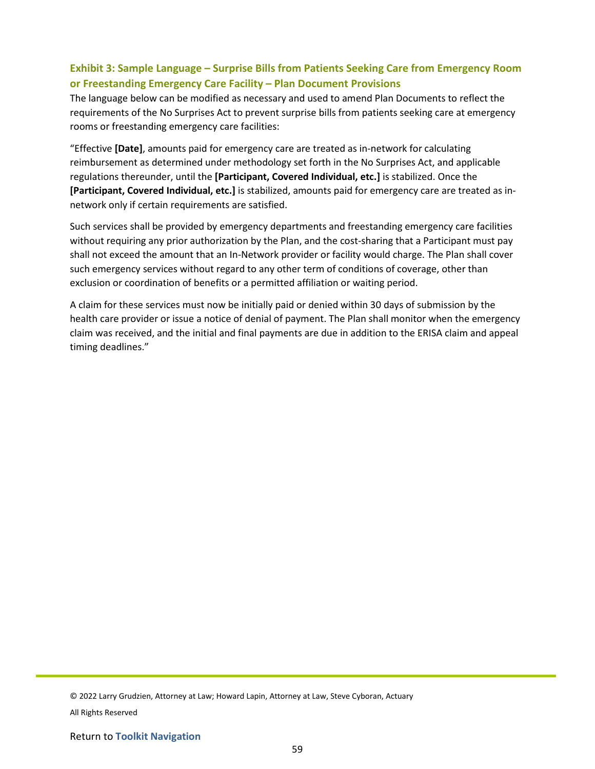# **Exhibit 3: Sample Language – Surprise Bills from Patients Seeking Care from Emergency Room or Freestanding Emergency Care Facility – Plan Document Provisions**

The language below can be modified as necessary and used to amend Plan Documents to reflect the requirements of the No Surprises Act to prevent surprise bills from patients seeking care at emergency rooms or freestanding emergency care facilities:

"Effective **[Date]**, amounts paid for emergency care are treated as in-network for calculating reimbursement as determined under methodology set forth in the No Surprises Act, and applicable regulations thereunder, until the **[Participant, Covered Individual, etc.]** is stabilized. Once the **[Participant, Covered Individual, etc.]** is stabilized, amounts paid for emergency care are treated as innetwork only if certain requirements are satisfied.

Such services shall be provided by emergency departments and freestanding emergency care facilities without requiring any prior authorization by the Plan, and the cost-sharing that a Participant must pay shall not exceed the amount that an In-Network provider or facility would charge. The Plan shall cover such emergency services without regard to any other term of conditions of coverage, other than exclusion or coordination of benefits or a permitted affiliation or waiting period.

A claim for these services must now be initially paid or denied within 30 days of submission by the health care provider or issue a notice of denial of payment. The Plan shall monitor when the emergency claim was received, and the initial and final payments are due in addition to the ERISA claim and appeal timing deadlines."

© 2022 Larry Grudzien, Attorney at Law; Howard Lapin, Attorney at Law, Steve Cyboran, Actuary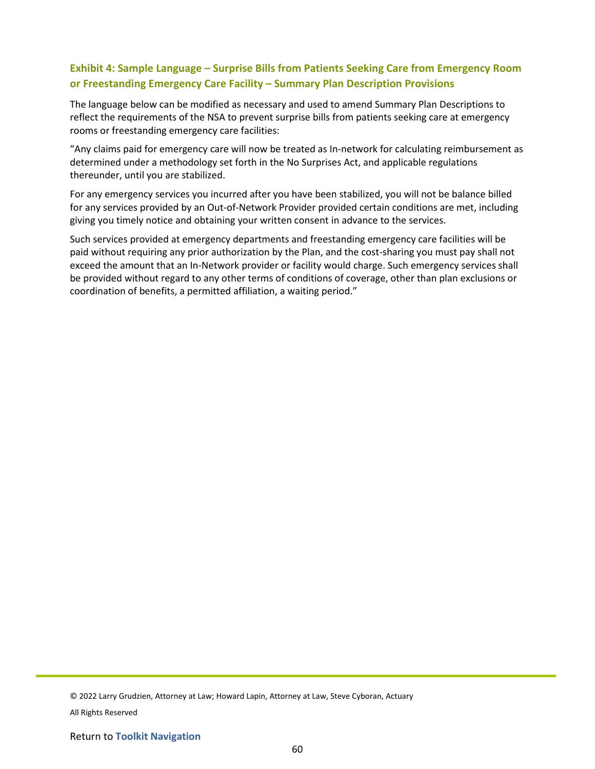# **Exhibit 4: Sample Language – Surprise Bills from Patients Seeking Care from Emergency Room or Freestanding Emergency Care Facility – Summary Plan Description Provisions**

The language below can be modified as necessary and used to amend Summary Plan Descriptions to reflect the requirements of the NSA to prevent surprise bills from patients seeking care at emergency rooms or freestanding emergency care facilities:

"Any claims paid for emergency care will now be treated as In-network for calculating reimbursement as determined under a methodology set forth in the No Surprises Act, and applicable regulations thereunder, until you are stabilized.

For any emergency services you incurred after you have been stabilized, you will not be balance billed for any services provided by an Out-of-Network Provider provided certain conditions are met, including giving you timely notice and obtaining your written consent in advance to the services.

Such services provided at emergency departments and freestanding emergency care facilities will be paid without requiring any prior authorization by the Plan, and the cost-sharing you must pay shall not exceed the amount that an In-Network provider or facility would charge. Such emergency services shall be provided without regard to any other terms of conditions of coverage, other than plan exclusions or coordination of benefits, a permitted affiliation, a waiting period."

© 2022 Larry Grudzien, Attorney at Law; Howard Lapin, Attorney at Law, Steve Cyboran, Actuary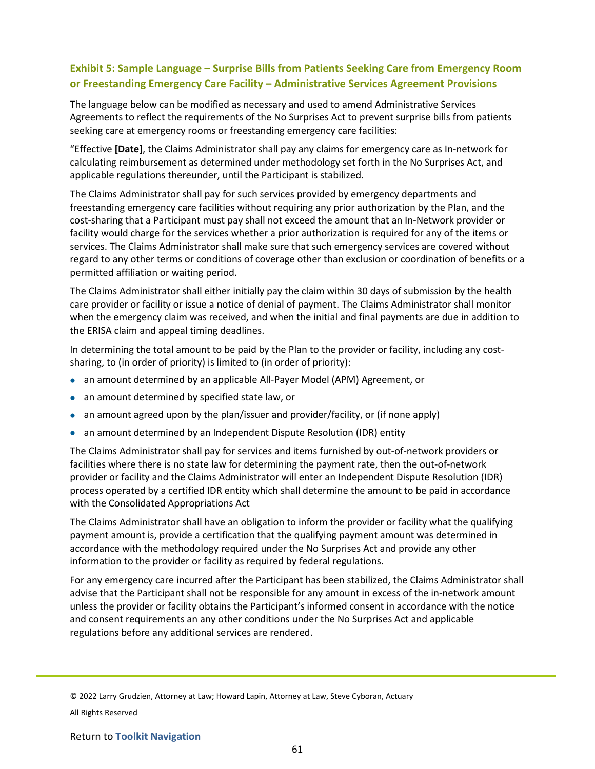# **Exhibit 5: Sample Language – Surprise Bills from Patients Seeking Care from Emergency Room or Freestanding Emergency Care Facility – Administrative Services Agreement Provisions**

The language below can be modified as necessary and used to amend Administrative Services Agreements to reflect the requirements of the No Surprises Act to prevent surprise bills from patients seeking care at emergency rooms or freestanding emergency care facilities:

"Effective **[Date]**, the Claims Administrator shall pay any claims for emergency care as In-network for calculating reimbursement as determined under methodology set forth in the No Surprises Act, and applicable regulations thereunder, until the Participant is stabilized.

The Claims Administrator shall pay for such services provided by emergency departments and freestanding emergency care facilities without requiring any prior authorization by the Plan, and the cost-sharing that a Participant must pay shall not exceed the amount that an In-Network provider or facility would charge for the services whether a prior authorization is required for any of the items or services. The Claims Administrator shall make sure that such emergency services are covered without regard to any other terms or conditions of coverage other than exclusion or coordination of benefits or a permitted affiliation or waiting period.

The Claims Administrator shall either initially pay the claim within 30 days of submission by the health care provider or facility or issue a notice of denial of payment. The Claims Administrator shall monitor when the emergency claim was received, and when the initial and final payments are due in addition to the ERISA claim and appeal timing deadlines.

In determining the total amount to be paid by the Plan to the provider or facility, including any costsharing, to (in order of priority) is limited to (in order of priority):

- an amount determined by an applicable All-Payer Model (APM) Agreement, or
- an amount determined by specified state law, or
- an amount agreed upon by the plan/issuer and provider/facility, or (if none apply)
- an amount determined by an Independent Dispute Resolution (IDR) entity

The Claims Administrator shall pay for services and items furnished by out-of-network providers or facilities where there is no state law for determining the payment rate, then the out-of-network provider or facility and the Claims Administrator will enter an Independent Dispute Resolution (IDR) process operated by a certified IDR entity which shall determine the amount to be paid in accordance with the Consolidated Appropriations Act

The Claims Administrator shall have an obligation to inform the provider or facility what the qualifying payment amount is, provide a certification that the qualifying payment amount was determined in accordance with the methodology required under the No Surprises Act and provide any other information to the provider or facility as required by federal regulations.

For any emergency care incurred after the Participant has been stabilized, the Claims Administrator shall advise that the Participant shall not be responsible for any amount in excess of the in-network amount unless the provider or facility obtains the Participant's informed consent in accordance with the notice and consent requirements an any other conditions under the No Surprises Act and applicable regulations before any additional services are rendered.

© 2022 Larry Grudzien, Attorney at Law; Howard Lapin, Attorney at Law, Steve Cyboran, Actuary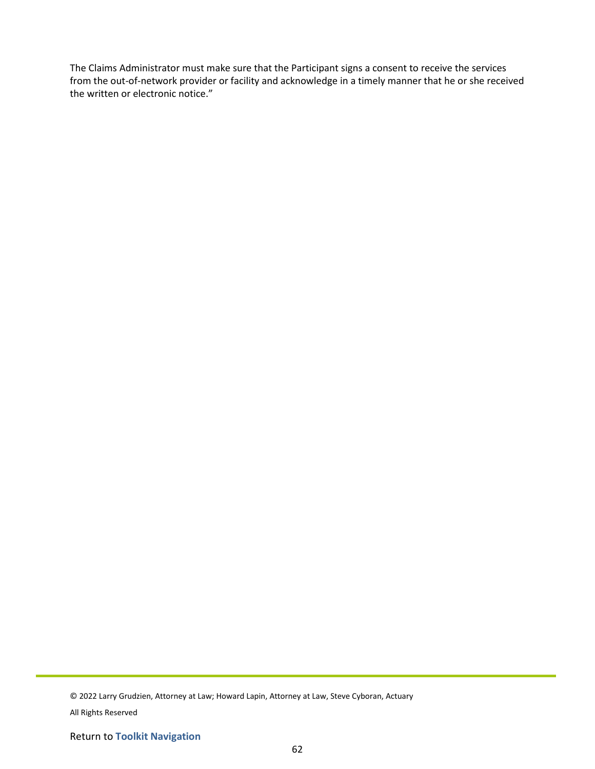The Claims Administrator must make sure that the Participant signs a consent to receive the services from the out-of-network provider or facility and acknowledge in a timely manner that he or she received the written or electronic notice."

<sup>© 2022</sup> Larry Grudzien, Attorney at Law; Howard Lapin, Attorney at Law, Steve Cyboran, Actuary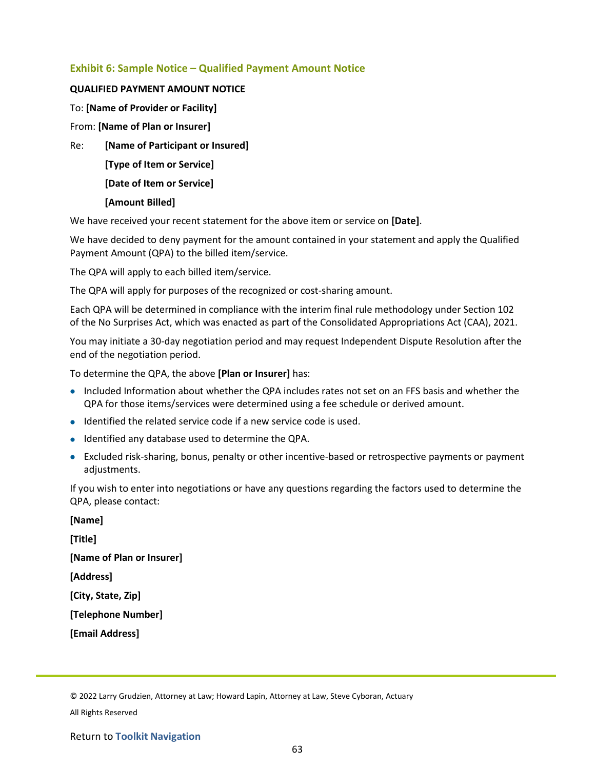## **Exhibit 6: Sample Notice – Qualified Payment Amount Notice**

#### **QUALIFIED PAYMENT AMOUNT NOTICE**

To: **[Name of Provider or Facility]**

From: **[Name of Plan or Insurer]**

Re: **[Name of Participant or Insured]**

**[Type of Item or Service]**

**[Date of Item or Service]**

#### **[Amount Billed]**

We have received your recent statement for the above item or service on **[Date]**.

We have decided to deny payment for the amount contained in your statement and apply the Qualified Payment Amount (QPA) to the billed item/service.

The QPA will apply to each billed item/service.

The QPA will apply for purposes of the recognized or cost-sharing amount.

Each QPA will be determined in compliance with the interim final rule methodology under Section 102 of the No Surprises Act, which was enacted as part of the Consolidated Appropriations Act (CAA), 2021.

You may initiate a 30-day negotiation period and may request Independent Dispute Resolution after the end of the negotiation period.

To determine the QPA, the above **[Plan or Insurer]** has:

- Included Information about whether the QPA includes rates not set on an FFS basis and whether the QPA for those items/services were determined using a fee schedule or derived amount.
- Identified the related service code if a new service code is used.
- Identified any database used to determine the QPA.
- Excluded risk-sharing, bonus, penalty or other incentive-based or retrospective payments or payment adjustments.

If you wish to enter into negotiations or have any questions regarding the factors used to determine the QPA, please contact:

| <b>INamel</b>             |  |
|---------------------------|--|
| [Title]                   |  |
| [Name of Plan or Insurer] |  |
| [Address]                 |  |
| [City, State, Zip]        |  |
| [Telephone Number]        |  |
| [Email Address]           |  |

© 2022 Larry Grudzien, Attorney at Law; Howard Lapin, Attorney at Law, Steve Cyboran, Actuary

All Rights Reserved

**[Name]**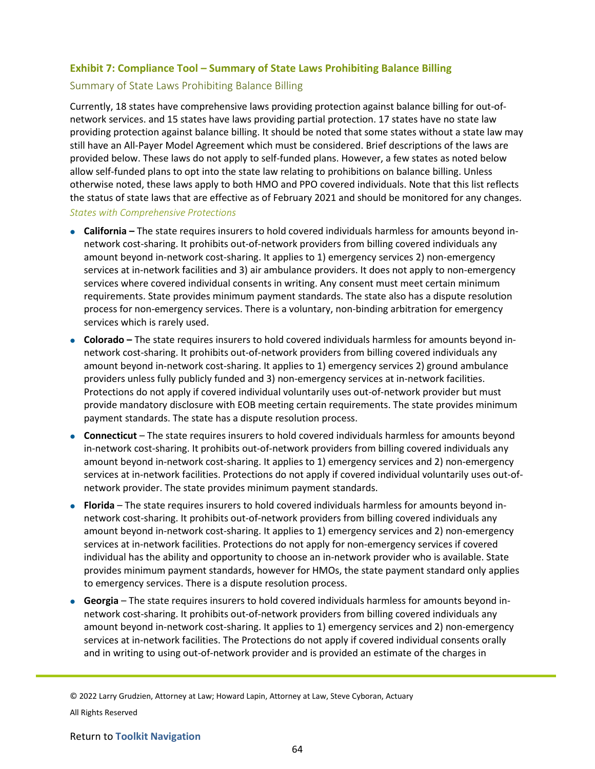## **Exhibit 7: Compliance Tool – Summary of State Laws Prohibiting Balance Billing**

#### Summary of State Laws Prohibiting Balance Billing

Currently, 18 states have comprehensive laws providing protection against balance billing for out-ofnetwork services. and 15 states have laws providing partial protection. 17 states have no state law providing protection against balance billing. It should be noted that some states without a state law may still have an All-Payer Model Agreement which must be considered. Brief descriptions of the laws are provided below. These laws do not apply to self-funded plans. However, a few states as noted below allow self-funded plans to opt into the state law relating to prohibitions on balance billing. Unless otherwise noted, these laws apply to both HMO and PPO covered individuals. Note that this list reflects the status of state laws that are effective as of February 2021 and should be monitored for any changes.

#### *States with Comprehensive Protections*

- **California –** The state requires insurers to hold covered individuals harmless for amounts beyond innetwork cost-sharing. It prohibits out-of-network providers from billing covered individuals any amount beyond in-network cost-sharing. It applies to 1) emergency services 2) non-emergency services at in-network facilities and 3) air ambulance providers. It does not apply to non-emergency services where covered individual consents in writing. Any consent must meet certain minimum requirements. State provides minimum payment standards. The state also has a dispute resolution process for non-emergency services. There is a voluntary, non-binding arbitration for emergency services which is rarely used.
- **Colorado –** The state requires insurers to hold covered individuals harmless for amounts beyond innetwork cost-sharing. It prohibits out-of-network providers from billing covered individuals any amount beyond in-network cost-sharing. It applies to 1) emergency services 2) ground ambulance providers unless fully publicly funded and 3) non-emergency services at in-network facilities. Protections do not apply if covered individual voluntarily uses out-of-network provider but must provide mandatory disclosure with EOB meeting certain requirements. The state provides minimum payment standards. The state has a dispute resolution process.
- **Connecticut** The state requires insurers to hold covered individuals harmless for amounts beyond in-network cost-sharing. It prohibits out-of-network providers from billing covered individuals any amount beyond in-network cost-sharing. It applies to 1) emergency services and 2) non-emergency services at in-network facilities. Protections do not apply if covered individual voluntarily uses out-ofnetwork provider. The state provides minimum payment standards.
- **Florida** The state requires insurers to hold covered individuals harmless for amounts beyond innetwork cost-sharing. It prohibits out-of-network providers from billing covered individuals any amount beyond in-network cost-sharing. It applies to 1) emergency services and 2) non-emergency services at in-network facilities. Protections do not apply for non-emergency services if covered individual has the ability and opportunity to choose an in-network provider who is available. State provides minimum payment standards, however for HMOs, the state payment standard only applies to emergency services. There is a dispute resolution process.
- **Georgia** The state requires insurers to hold covered individuals harmless for amounts beyond innetwork cost-sharing. It prohibits out-of-network providers from billing covered individuals any amount beyond in-network cost-sharing. It applies to 1) emergency services and 2) non-emergency services at in-network facilities. The Protections do not apply if covered individual consents orally and in writing to using out-of-network provider and is provided an estimate of the charges in

© 2022 Larry Grudzien, Attorney at Law; Howard Lapin, Attorney at Law, Steve Cyboran, Actuary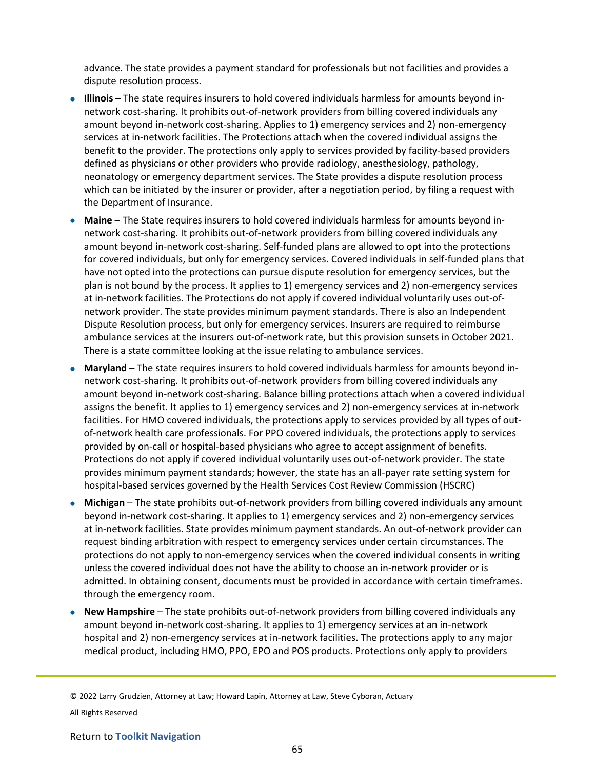advance. The state provides a payment standard for professionals but not facilities and provides a dispute resolution process.

- **Illinois –** The state requires insurers to hold covered individuals harmless for amounts beyond innetwork cost-sharing. It prohibits out-of-network providers from billing covered individuals any amount beyond in-network cost-sharing. Applies to 1) emergency services and 2) non-emergency services at in-network facilities. The Protections attach when the covered individual assigns the benefit to the provider. The protections only apply to services provided by facility-based providers defined as physicians or other providers who provide radiology, anesthesiology, pathology, neonatology or emergency department services. The State provides a dispute resolution process which can be initiated by the insurer or provider, after a negotiation period, by filing a request with the Department of Insurance.
- **Maine** The State requires insurers to hold covered individuals harmless for amounts beyond innetwork cost-sharing. It prohibits out-of-network providers from billing covered individuals any amount beyond in-network cost-sharing. Self-funded plans are allowed to opt into the protections for covered individuals, but only for emergency services. Covered individuals in self-funded plans that have not opted into the protections can pursue dispute resolution for emergency services, but the plan is not bound by the process. It applies to 1) emergency services and 2) non-emergency services at in-network facilities. The Protections do not apply if covered individual voluntarily uses out-ofnetwork provider. The state provides minimum payment standards. There is also an Independent Dispute Resolution process, but only for emergency services. Insurers are required to reimburse ambulance services at the insurers out-of-network rate, but this provision sunsets in October 2021. There is a state committee looking at the issue relating to ambulance services.
- **Maryland** The state requires insurers to hold covered individuals harmless for amounts beyond innetwork cost-sharing. It prohibits out-of-network providers from billing covered individuals any amount beyond in-network cost-sharing. Balance billing protections attach when a covered individual assigns the benefit. It applies to 1) emergency services and 2) non-emergency services at in-network facilities. For HMO covered individuals, the protections apply to services provided by all types of outof-network health care professionals. For PPO covered individuals, the protections apply to services provided by on-call or hospital-based physicians who agree to accept assignment of benefits. Protections do not apply if covered individual voluntarily uses out-of-network provider. The state provides minimum payment standards; however, the state has an all-payer rate setting system for hospital-based services governed by the Health Services Cost Review Commission (HSCRC)
- **Michigan** The state prohibits out-of-network providers from billing covered individuals any amount beyond in-network cost-sharing. It applies to 1) emergency services and 2) non-emergency services at in-network facilities. State provides minimum payment standards. An out-of-network provider can request binding arbitration with respect to emergency services under certain circumstances. The protections do not apply to non-emergency services when the covered individual consents in writing unless the covered individual does not have the ability to choose an in-network provider or is admitted. In obtaining consent, documents must be provided in accordance with certain timeframes. through the emergency room.
- **New Hampshire** The state prohibits out-of-network providers from billing covered individuals any amount beyond in-network cost-sharing. It applies to 1) emergency services at an in-network hospital and 2) non-emergency services at in-network facilities. The protections apply to any major medical product, including HMO, PPO, EPO and POS products. Protections only apply to providers

© 2022 Larry Grudzien, Attorney at Law; Howard Lapin, Attorney at Law, Steve Cyboran, Actuary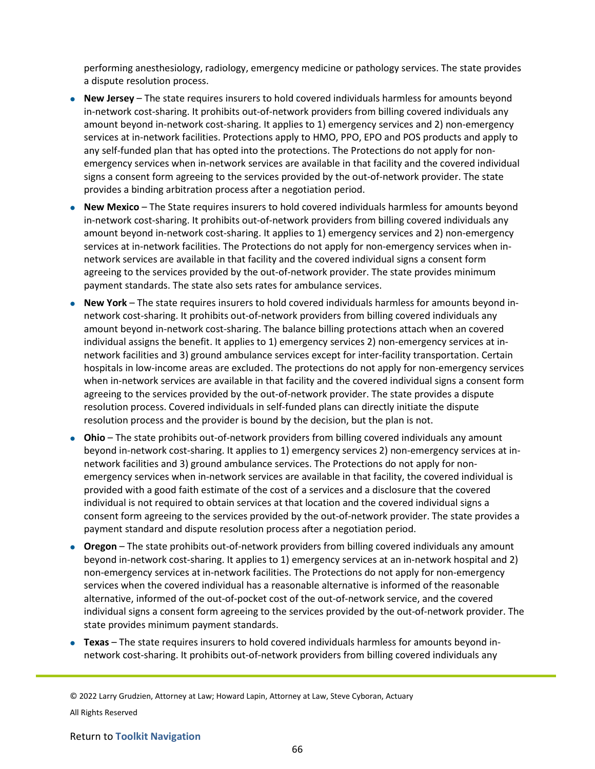performing anesthesiology, radiology, emergency medicine or pathology services. The state provides a dispute resolution process.

- **New Jersey** The state requires insurers to hold covered individuals harmless for amounts beyond in-network cost-sharing. It prohibits out-of-network providers from billing covered individuals any amount beyond in-network cost-sharing. It applies to 1) emergency services and 2) non-emergency services at in-network facilities. Protections apply to HMO, PPO, EPO and POS products and apply to any self-funded plan that has opted into the protections. The Protections do not apply for nonemergency services when in-network services are available in that facility and the covered individual signs a consent form agreeing to the services provided by the out-of-network provider. The state provides a binding arbitration process after a negotiation period.
- **New Mexico** The State requires insurers to hold covered individuals harmless for amounts beyond in-network cost-sharing. It prohibits out-of-network providers from billing covered individuals any amount beyond in-network cost-sharing. It applies to 1) emergency services and 2) non-emergency services at in-network facilities. The Protections do not apply for non-emergency services when innetwork services are available in that facility and the covered individual signs a consent form agreeing to the services provided by the out-of-network provider. The state provides minimum payment standards. The state also sets rates for ambulance services.
- **New York** The state requires insurers to hold covered individuals harmless for amounts beyond innetwork cost-sharing. It prohibits out-of-network providers from billing covered individuals any amount beyond in-network cost-sharing. The balance billing protections attach when an covered individual assigns the benefit. It applies to 1) emergency services 2) non-emergency services at innetwork facilities and 3) ground ambulance services except for inter-facility transportation. Certain hospitals in low-income areas are excluded. The protections do not apply for non-emergency services when in-network services are available in that facility and the covered individual signs a consent form agreeing to the services provided by the out-of-network provider. The state provides a dispute resolution process. Covered individuals in self-funded plans can directly initiate the dispute resolution process and the provider is bound by the decision, but the plan is not.
- **Ohio** The state prohibits out-of-network providers from billing covered individuals any amount beyond in-network cost-sharing. It applies to 1) emergency services 2) non-emergency services at innetwork facilities and 3) ground ambulance services. The Protections do not apply for nonemergency services when in-network services are available in that facility, the covered individual is provided with a good faith estimate of the cost of a services and a disclosure that the covered individual is not required to obtain services at that location and the covered individual signs a consent form agreeing to the services provided by the out-of-network provider. The state provides a payment standard and dispute resolution process after a negotiation period.
- **Oregon** The state prohibits out-of-network providers from billing covered individuals any amount beyond in-network cost-sharing. It applies to 1) emergency services at an in-network hospital and 2) non-emergency services at in-network facilities. The Protections do not apply for non-emergency services when the covered individual has a reasonable alternative is informed of the reasonable alternative, informed of the out-of-pocket cost of the out-of-network service, and the covered individual signs a consent form agreeing to the services provided by the out-of-network provider. The state provides minimum payment standards.
- **Texas** The state requires insurers to hold covered individuals harmless for amounts beyond innetwork cost-sharing. It prohibits out-of-network providers from billing covered individuals any

© 2022 Larry Grudzien, Attorney at Law; Howard Lapin, Attorney at Law, Steve Cyboran, Actuary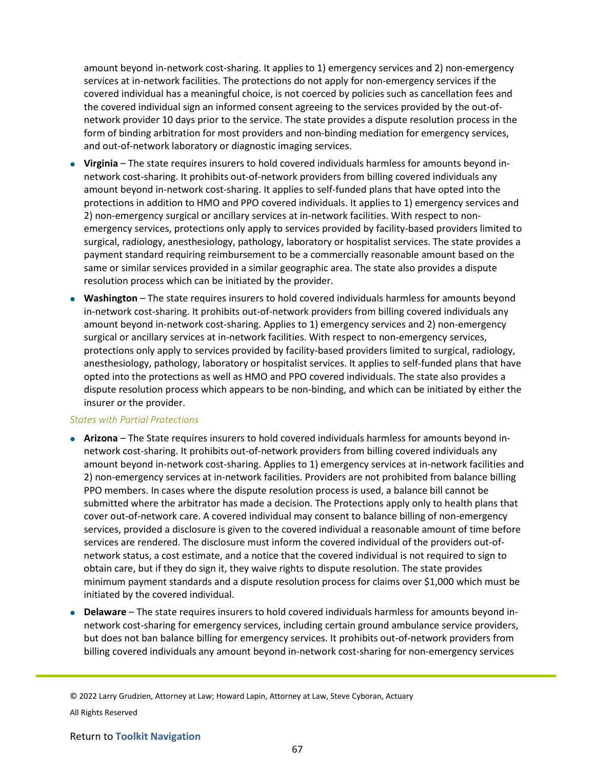amount beyond in-network cost-sharing. It applies to 1) emergency services and 2) non-emergency services at in-network facilities. The protections do not apply for non-emergency services if the covered individual has a meaningful choice, is not coerced by policies such as cancellation fees and the covered individual sign an informed consent agreeing to the services provided by the out-ofnetwork provider 10 days prior to the service. The state provides a dispute resolution process in the form of binding arbitration for most providers and non-binding mediation for emergency services, and out-of-network laboratory or diagnostic imaging services.

- **Virginia** The state requires insurers to hold covered individuals harmless for amounts beyond innetwork cost-sharing. It prohibits out-of-network providers from billing covered individuals any amount beyond in-network cost-sharing. It applies to self-funded plans that have opted into the protections in addition to HMO and PPO covered individuals. It applies to 1) emergency services and 2) non-emergency surgical or ancillary services at in-network facilities. With respect to nonemergency services, protections only apply to services provided by facility-based providers limited to surgical, radiology, anesthesiology, pathology, laboratory or hospitalist services. The state provides a payment standard requiring reimbursement to be a commercially reasonable amount based on the same or similar services provided in a similar geographic area. The state also provides a dispute resolution process which can be initiated by the provider.
- **Washington** The state requires insurers to hold covered individuals harmless for amounts beyond in-network cost-sharing. It prohibits out-of-network providers from billing covered individuals any amount beyond in-network cost-sharing. Applies to 1) emergency services and 2) non-emergency surgical or ancillary services at in-network facilities. With respect to non-emergency services, protections only apply to services provided by facility-based providers limited to surgical, radiology, anesthesiology, pathology, laboratory or hospitalist services. It applies to self-funded plans that have opted into the protections as well as HMO and PPO covered individuals. The state also provides a dispute resolution process which appears to be non-binding, and which can be initiated by either the insurer or the provider.

#### *States with Partial Protections*

- **Arizona** The State requires insurers to hold covered individuals harmless for amounts beyond innetwork cost-sharing. It prohibits out-of-network providers from billing covered individuals any amount beyond in-network cost-sharing. Applies to 1) emergency services at in-network facilities and 2) non-emergency services at in-network facilities. Providers are not prohibited from balance billing PPO members. In cases where the dispute resolution process is used, a balance bill cannot be submitted where the arbitrator has made a decision. The Protections apply only to health plans that cover out-of-network care. A covered individual may consent to balance billing of non-emergency services, provided a disclosure is given to the covered individual a reasonable amount of time before services are rendered. The disclosure must inform the covered individual of the providers out-ofnetwork status, a cost estimate, and a notice that the covered individual is not required to sign to obtain care, but if they do sign it, they waive rights to dispute resolution. The state provides minimum payment standards and a dispute resolution process for claims over \$1,000 which must be initiated by the covered individual.
- **Delaware** The state requires insurers to hold covered individuals harmless for amounts beyond innetwork cost-sharing for emergency services, including certain ground ambulance service providers, but does not ban balance billing for emergency services. It prohibits out-of-network providers from billing covered individuals any amount beyond in-network cost-sharing for non-emergency services

© 2022 Larry Grudzien, Attorney at Law; Howard Lapin, Attorney at Law, Steve Cyboran, Actuary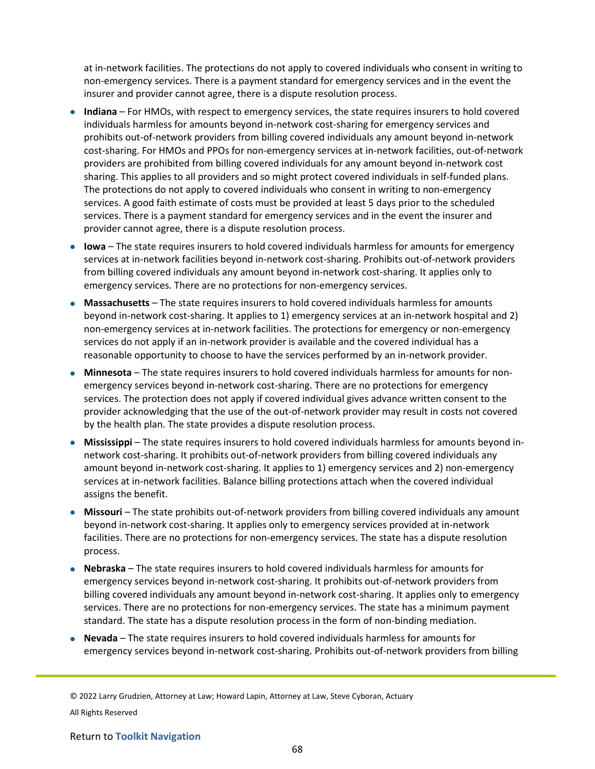at in-network facilities. The protections do not apply to covered individuals who consent in writing to non-emergency services. There is a payment standard for emergency services and in the event the insurer and provider cannot agree, there is a dispute resolution process.

- **Indiana** For HMOs, with respect to emergency services, the state requires insurers to hold covered individuals harmless for amounts beyond in-network cost-sharing for emergency services and prohibits out-of-network providers from billing covered individuals any amount beyond in-network cost-sharing. For HMOs and PPOs for non-emergency services at in-network facilities, out-of-network providers are prohibited from billing covered individuals for any amount beyond in-network cost sharing. This applies to all providers and so might protect covered individuals in self-funded plans. The protections do not apply to covered individuals who consent in writing to non-emergency services. A good faith estimate of costs must be provided at least 5 days prior to the scheduled services. There is a payment standard for emergency services and in the event the insurer and provider cannot agree, there is a dispute resolution process.
- **Iowa** The state requires insurers to hold covered individuals harmless for amounts for emergency services at in-network facilities beyond in-network cost-sharing. Prohibits out-of-network providers from billing covered individuals any amount beyond in-network cost-sharing. It applies only to emergency services. There are no protections for non-emergency services.
- **Massachusetts** The state requires insurers to hold covered individuals harmless for amounts beyond in-network cost-sharing. It applies to 1) emergency services at an in-network hospital and 2) non-emergency services at in-network facilities. The protections for emergency or non-emergency services do not apply if an in-network provider is available and the covered individual has a reasonable opportunity to choose to have the services performed by an in-network provider.
- **Minnesota** The state requires insurers to hold covered individuals harmless for amounts for nonemergency services beyond in-network cost-sharing. There are no protections for emergency services. The protection does not apply if covered individual gives advance written consent to the provider acknowledging that the use of the out-of-network provider may result in costs not covered by the health plan. The state provides a dispute resolution process.
- **Mississippi** The state requires insurers to hold covered individuals harmless for amounts beyond innetwork cost-sharing. It prohibits out-of-network providers from billing covered individuals any amount beyond in-network cost-sharing. It applies to 1) emergency services and 2) non-emergency services at in-network facilities. Balance billing protections attach when the covered individual assigns the benefit.
- **Missouri** The state prohibits out-of-network providers from billing covered individuals any amount beyond in-network cost-sharing. It applies only to emergency services provided at in-network facilities. There are no protections for non-emergency services. The state has a dispute resolution process.
- **Nebraska** The state requires insurers to hold covered individuals harmless for amounts for emergency services beyond in-network cost-sharing. It prohibits out-of-network providers from billing covered individuals any amount beyond in-network cost-sharing. It applies only to emergency services. There are no protections for non-emergency services. The state has a minimum payment standard. The state has a dispute resolution process in the form of non-binding mediation.
- **Nevada** The state requires insurers to hold covered individuals harmless for amounts for emergency services beyond in-network cost-sharing. Prohibits out-of-network providers from billing

© 2022 Larry Grudzien, Attorney at Law; Howard Lapin, Attorney at Law, Steve Cyboran, Actuary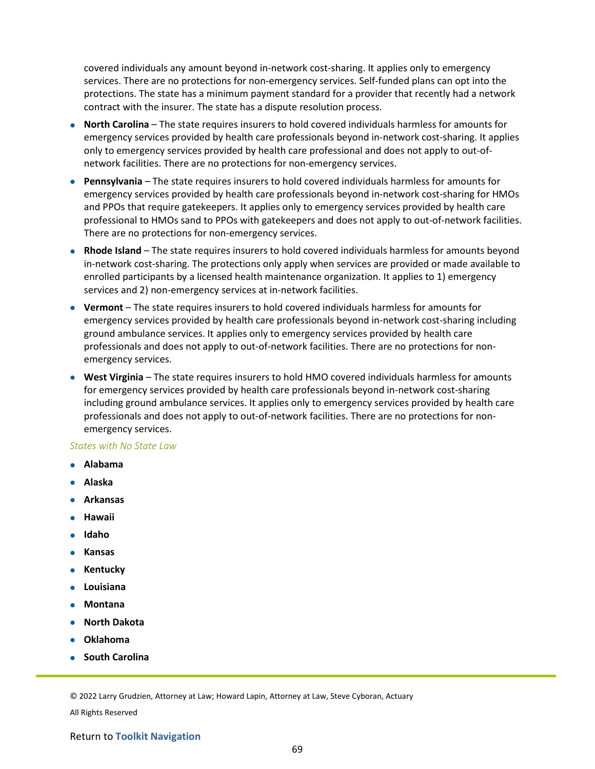covered individuals any amount beyond in-network cost-sharing. It applies only to emergency services. There are no protections for non-emergency services. Self-funded plans can opt into the protections. The state has a minimum payment standard for a provider that recently had a network contract with the insurer. The state has a dispute resolution process.

- **North Carolina** The state requires insurers to hold covered individuals harmless for amounts for emergency services provided by health care professionals beyond in-network cost-sharing. It applies only to emergency services provided by health care professional and does not apply to out-ofnetwork facilities. There are no protections for non-emergency services.
- **Pennsylvania** The state requires insurers to hold covered individuals harmless for amounts for emergency services provided by health care professionals beyond in-network cost-sharing for HMOs and PPOs that require gatekeepers. It applies only to emergency services provided by health care professional to HMOs sand to PPOs with gatekeepers and does not apply to out-of-network facilities. There are no protections for non-emergency services.
- **Rhode Island** The state requires insurers to hold covered individuals harmless for amounts beyond in-network cost-sharing. The protections only apply when services are provided or made available to enrolled participants by a licensed health maintenance organization. It applies to 1) emergency services and 2) non-emergency services at in-network facilities.
- **Vermont** The state requires insurers to hold covered individuals harmless for amounts for emergency services provided by health care professionals beyond in-network cost-sharing including ground ambulance services. It applies only to emergency services provided by health care professionals and does not apply to out-of-network facilities. There are no protections for nonemergency services.
- **West Virginia** The state requires insurers to hold HMO covered individuals harmless for amounts for emergency services provided by health care professionals beyond in-network cost-sharing including ground ambulance services. It applies only to emergency services provided by health care professionals and does not apply to out-of-network facilities. There are no protections for nonemergency services.

#### *States with No State Law*

- **Alabama**
- **Alaska**
- **Arkansas**
- **Hawaii**
- **Idaho**
- **Kansas**
- **Kentucky**
- **Louisiana**
- **Montana**
- **North Dakota**
- **Oklahoma**
- **South Carolina**

© 2022 Larry Grudzien, Attorney at Law; Howard Lapin, Attorney at Law, Steve Cyboran, Actuary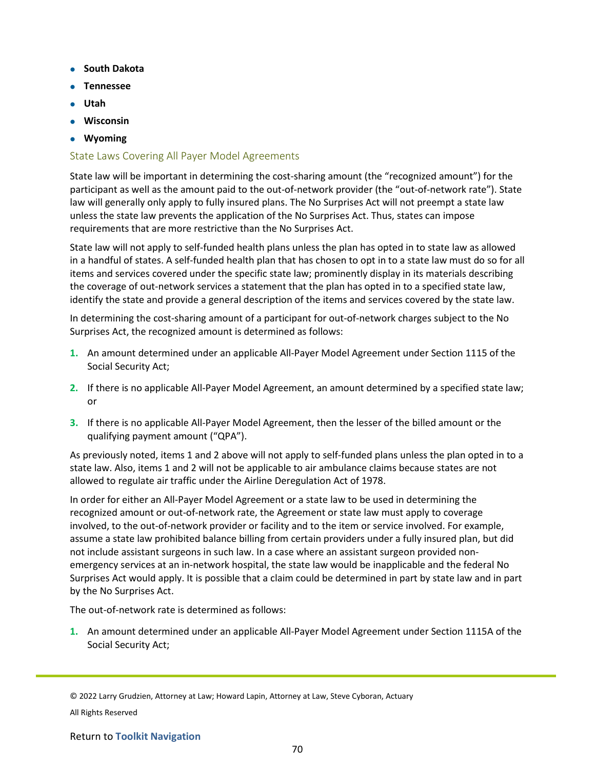- **South Dakota**
- **Tennessee**
- **Utah**
- **Wisconsin**
- **Wyoming**

## State Laws Covering All Payer Model Agreements

State law will be important in determining the cost-sharing amount (the "recognized amount") for the participant as well as the amount paid to the out-of-network provider (the "out-of-network rate"). State law will generally only apply to fully insured plans. The No Surprises Act will not preempt a state law unless the state law prevents the application of the No Surprises Act. Thus, states can impose requirements that are more restrictive than the No Surprises Act.

State law will not apply to self-funded health plans unless the plan has opted in to state law as allowed in a handful of states. A self-funded health plan that has chosen to opt in to a state law must do so for all items and services covered under the specific state law; prominently display in its materials describing the coverage of out-network services a statement that the plan has opted in to a specified state law, identify the state and provide a general description of the items and services covered by the state law.

In determining the cost-sharing amount of a participant for out-of-network charges subject to the No Surprises Act, the recognized amount is determined as follows:

- **1.** An amount determined under an applicable All-Payer Model Agreement under Section 1115 of the Social Security Act;
- **2.** If there is no applicable All-Payer Model Agreement, an amount determined by a specified state law; or
- **3.** If there is no applicable All-Payer Model Agreement, then the lesser of the billed amount or the qualifying payment amount ("QPA").

As previously noted, items 1 and 2 above will not apply to self-funded plans unless the plan opted in to a state law. Also, items 1 and 2 will not be applicable to air ambulance claims because states are not allowed to regulate air traffic under the Airline Deregulation Act of 1978.

In order for either an All-Payer Model Agreement or a state law to be used in determining the recognized amount or out-of-network rate, the Agreement or state law must apply to coverage involved, to the out-of-network provider or facility and to the item or service involved. For example, assume a state law prohibited balance billing from certain providers under a fully insured plan, but did not include assistant surgeons in such law. In a case where an assistant surgeon provided nonemergency services at an in-network hospital, the state law would be inapplicable and the federal No Surprises Act would apply. It is possible that a claim could be determined in part by state law and in part by the No Surprises Act.

The out-of-network rate is determined as follows:

**1.** An amount determined under an applicable All-Payer Model Agreement under Section 1115A of the Social Security Act;

© 2022 Larry Grudzien, Attorney at Law; Howard Lapin, Attorney at Law, Steve Cyboran, Actuary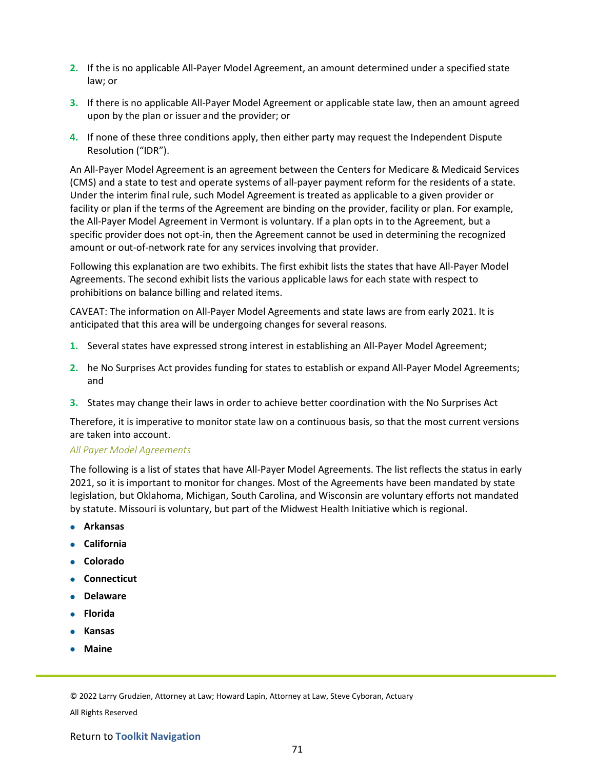- **2.** If the is no applicable All-Payer Model Agreement, an amount determined under a specified state law; or
- **3.** If there is no applicable All-Payer Model Agreement or applicable state law, then an amount agreed upon by the plan or issuer and the provider; or
- **4.** If none of these three conditions apply, then either party may request the Independent Dispute Resolution ("IDR").

An All-Payer Model Agreement is an agreement between the Centers for Medicare & Medicaid Services (CMS) and a state to test and operate systems of all-payer payment reform for the residents of a state. Under the interim final rule, such Model Agreement is treated as applicable to a given provider or facility or plan if the terms of the Agreement are binding on the provider, facility or plan. For example, the All-Payer Model Agreement in Vermont is voluntary. If a plan opts in to the Agreement, but a specific provider does not opt-in, then the Agreement cannot be used in determining the recognized amount or out-of-network rate for any services involving that provider.

Following this explanation are two exhibits. The first exhibit lists the states that have All-Payer Model Agreements. The second exhibit lists the various applicable laws for each state with respect to prohibitions on balance billing and related items.

CAVEAT: The information on All-Payer Model Agreements and state laws are from early 2021. It is anticipated that this area will be undergoing changes for several reasons.

- **1.** Several states have expressed strong interest in establishing an All-Payer Model Agreement;
- **2.** he No Surprises Act provides funding for states to establish or expand All-Payer Model Agreements; and
- **3.** States may change their laws in order to achieve better coordination with the No Surprises Act

Therefore, it is imperative to monitor state law on a continuous basis, so that the most current versions are taken into account.

#### *All Payer Model Agreements*

The following is a list of states that have All-Payer Model Agreements. The list reflects the status in early 2021, so it is important to monitor for changes. Most of the Agreements have been mandated by state legislation, but Oklahoma, Michigan, South Carolina, and Wisconsin are voluntary efforts not mandated by statute. Missouri is voluntary, but part of the Midwest Health Initiative which is regional.

- **Arkansas**
- **California**
- **Colorado**
- **Connecticut**
- **Delaware**
- **Florida**
- **Kansas**
- **Maine**

© 2022 Larry Grudzien, Attorney at Law; Howard Lapin, Attorney at Law, Steve Cyboran, Actuary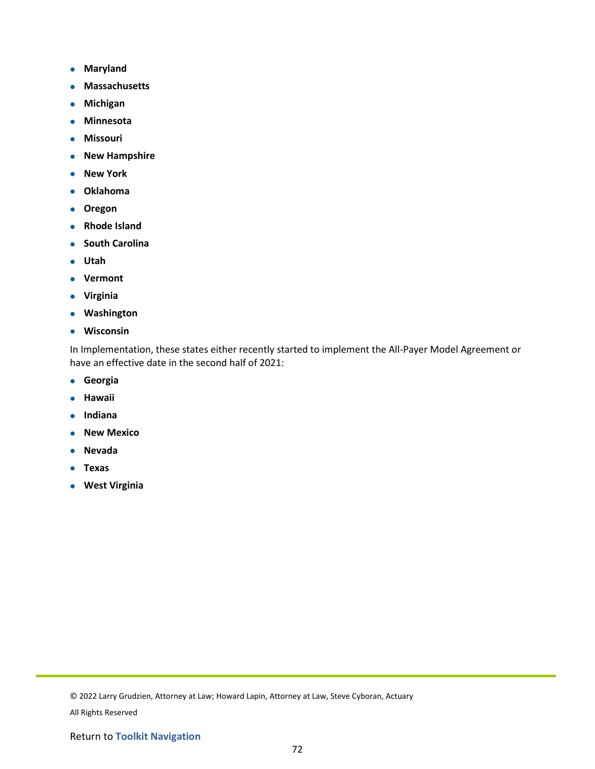- **Maryland**
- **Massachusetts**
- **Michigan**
- **Minnesota**
- **Missouri**
- **New Hampshire**
- **New York**
- **Oklahoma**
- **Oregon**
- **Rhode Island**
- **South Carolina**
- **Utah**
- **Vermont**
- **Virginia**
- **Washington**
- **Wisconsin**

In Implementation, these states either recently started to implement the All-Payer Model Agreement or have an effective date in the second half of 2021:

- **Georgia**
- **Hawaii**
- **Indiana**
- **New Mexico**
- **Nevada**
- **Texas**
- **West Virginia**

<sup>© 2022</sup> Larry Grudzien, Attorney at Law; Howard Lapin, Attorney at Law, Steve Cyboran, Actuary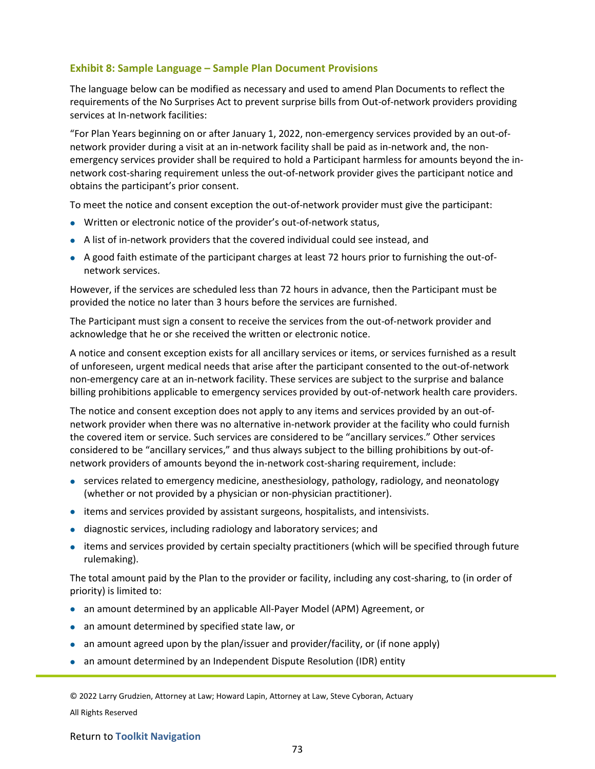## **Exhibit 8: Sample Language – Sample Plan Document Provisions**

The language below can be modified as necessary and used to amend Plan Documents to reflect the requirements of the No Surprises Act to prevent surprise bills from Out-of-network providers providing services at In-network facilities:

"For Plan Years beginning on or after January 1, 2022, non-emergency services provided by an out-ofnetwork provider during a visit at an in-network facility shall be paid as in-network and, the nonemergency services provider shall be required to hold a Participant harmless for amounts beyond the innetwork cost-sharing requirement unless the out-of-network provider gives the participant notice and obtains the participant's prior consent.

To meet the notice and consent exception the out-of-network provider must give the participant:

- Written or electronic notice of the provider's out-of-network status,
- A list of in-network providers that the covered individual could see instead, and
- A good faith estimate of the participant charges at least 72 hours prior to furnishing the out-ofnetwork services.

However, if the services are scheduled less than 72 hours in advance, then the Participant must be provided the notice no later than 3 hours before the services are furnished.

The Participant must sign a consent to receive the services from the out-of-network provider and acknowledge that he or she received the written or electronic notice.

A notice and consent exception exists for all ancillary services or items, or services furnished as a result of unforeseen, urgent medical needs that arise after the participant consented to the out-of-network non-emergency care at an in-network facility. These services are subject to the surprise and balance billing prohibitions applicable to emergency services provided by out-of-network health care providers.

The notice and consent exception does not apply to any items and services provided by an out-ofnetwork provider when there was no alternative in-network provider at the facility who could furnish the covered item or service. Such services are considered to be "ancillary services." Other services considered to be "ancillary services," and thus always subject to the billing prohibitions by out-ofnetwork providers of amounts beyond the in-network cost-sharing requirement, include:

- services related to emergency medicine, anesthesiology, pathology, radiology, and neonatology (whether or not provided by a physician or non-physician practitioner).
- items and services provided by assistant surgeons, hospitalists, and intensivists.
- diagnostic services, including radiology and laboratory services; and
- items and services provided by certain specialty practitioners (which will be specified through future rulemaking).

The total amount paid by the Plan to the provider or facility, including any cost-sharing, to (in order of priority) is limited to:

- an amount determined by an applicable All-Payer Model (APM) Agreement, or
- an amount determined by specified state law, or
- an amount agreed upon by the plan/issuer and provider/facility, or (if none apply)
- an amount determined by an Independent Dispute Resolution (IDR) entity

© 2022 Larry Grudzien, Attorney at Law; Howard Lapin, Attorney at Law, Steve Cyboran, Actuary All Rights Reserved

#### Return to **Toolkit Navigation**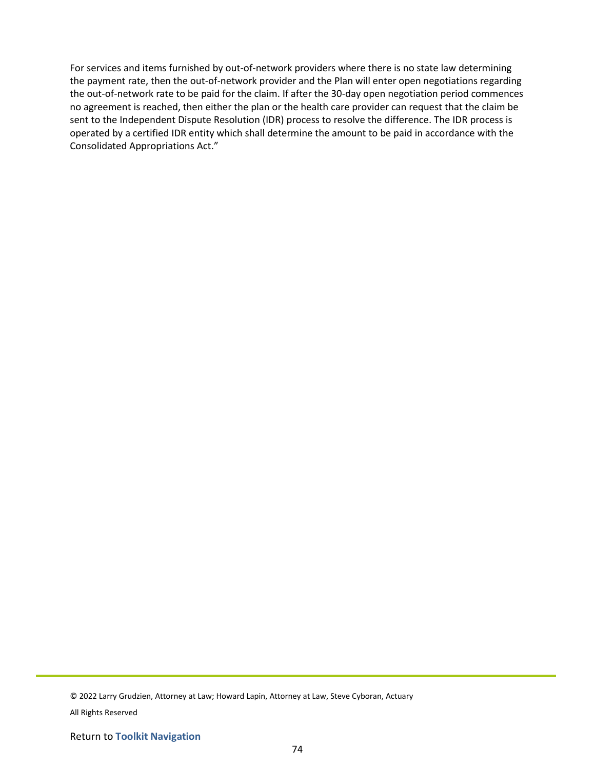For services and items furnished by out-of-network providers where there is no state law determining the payment rate, then the out-of-network provider and the Plan will enter open negotiations regarding the out-of-network rate to be paid for the claim. If after the 30-day open negotiation period commences no agreement is reached, then either the plan or the health care provider can request that the claim be sent to the Independent Dispute Resolution (IDR) process to resolve the difference. The IDR process is operated by a certified IDR entity which shall determine the amount to be paid in accordance with the Consolidated Appropriations Act."

© 2022 Larry Grudzien, Attorney at Law; Howard Lapin, Attorney at Law, Steve Cyboran, Actuary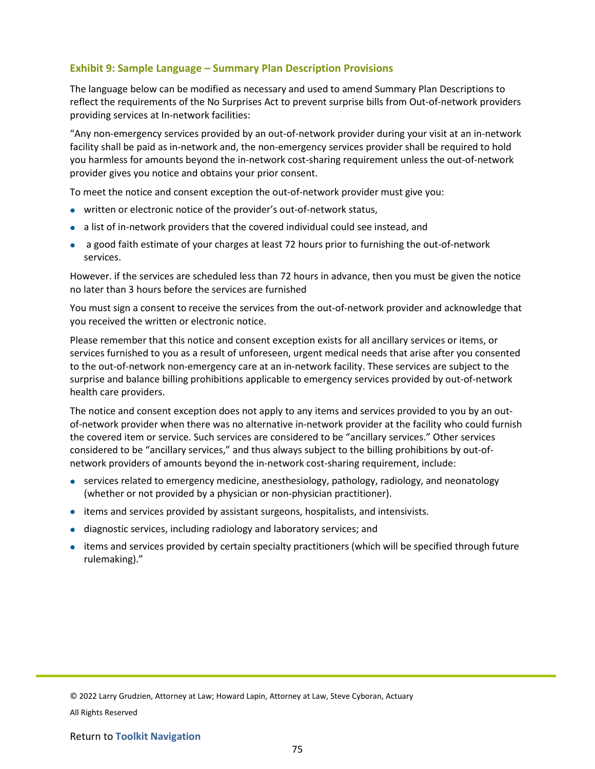## **Exhibit 9: Sample Language – Summary Plan Description Provisions**

The language below can be modified as necessary and used to amend Summary Plan Descriptions to reflect the requirements of the No Surprises Act to prevent surprise bills from Out-of-network providers providing services at In-network facilities:

"Any non-emergency services provided by an out-of-network provider during your visit at an in-network facility shall be paid as in-network and, the non-emergency services provider shall be required to hold you harmless for amounts beyond the in-network cost-sharing requirement unless the out-of-network provider gives you notice and obtains your prior consent.

To meet the notice and consent exception the out-of-network provider must give you:

- written or electronic notice of the provider's out-of-network status,
- a list of in-network providers that the covered individual could see instead, and
- a good faith estimate of your charges at least 72 hours prior to furnishing the out-of-network services.

However. if the services are scheduled less than 72 hours in advance, then you must be given the notice no later than 3 hours before the services are furnished

You must sign a consent to receive the services from the out-of-network provider and acknowledge that you received the written or electronic notice.

Please remember that this notice and consent exception exists for all ancillary services or items, or services furnished to you as a result of unforeseen, urgent medical needs that arise after you consented to the out-of-network non-emergency care at an in-network facility. These services are subject to the surprise and balance billing prohibitions applicable to emergency services provided by out-of-network health care providers.

The notice and consent exception does not apply to any items and services provided to you by an outof-network provider when there was no alternative in-network provider at the facility who could furnish the covered item or service. Such services are considered to be "ancillary services." Other services considered to be "ancillary services," and thus always subject to the billing prohibitions by out-ofnetwork providers of amounts beyond the in-network cost-sharing requirement, include:

- services related to emergency medicine, anesthesiology, pathology, radiology, and neonatology (whether or not provided by a physician or non-physician practitioner).
- items and services provided by assistant surgeons, hospitalists, and intensivists.
- diagnostic services, including radiology and laboratory services; and
- items and services provided by certain specialty practitioners (which will be specified through future rulemaking)."

<sup>© 2022</sup> Larry Grudzien, Attorney at Law; Howard Lapin, Attorney at Law, Steve Cyboran, Actuary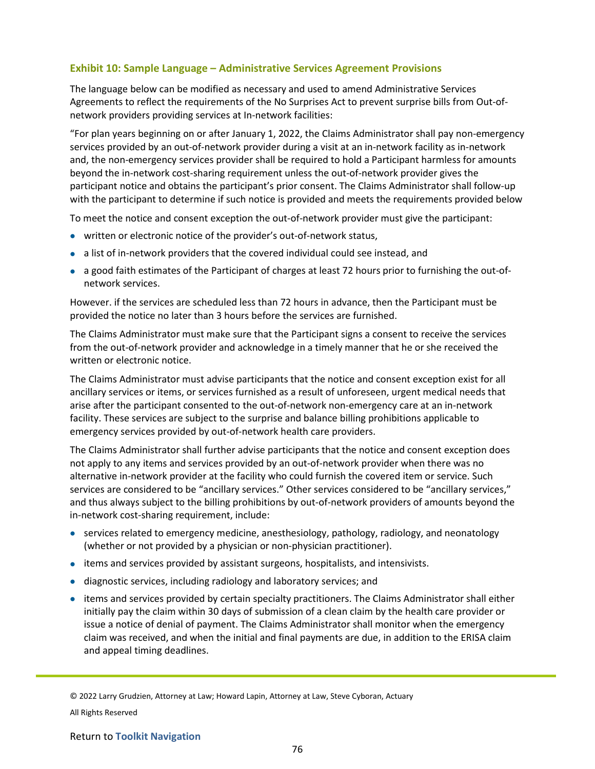## **Exhibit 10: Sample Language – Administrative Services Agreement Provisions**

The language below can be modified as necessary and used to amend Administrative Services Agreements to reflect the requirements of the No Surprises Act to prevent surprise bills from Out-ofnetwork providers providing services at In-network facilities:

"For plan years beginning on or after January 1, 2022, the Claims Administrator shall pay non-emergency services provided by an out-of-network provider during a visit at an in-network facility as in-network and, the non-emergency services provider shall be required to hold a Participant harmless for amounts beyond the in-network cost-sharing requirement unless the out-of-network provider gives the participant notice and obtains the participant's prior consent. The Claims Administrator shall follow-up with the participant to determine if such notice is provided and meets the requirements provided below

To meet the notice and consent exception the out-of-network provider must give the participant:

- written or electronic notice of the provider's out-of-network status,
- a list of in-network providers that the covered individual could see instead, and
- a good faith estimates of the Participant of charges at least 72 hours prior to furnishing the out-ofnetwork services.

However. if the services are scheduled less than 72 hours in advance, then the Participant must be provided the notice no later than 3 hours before the services are furnished.

The Claims Administrator must make sure that the Participant signs a consent to receive the services from the out-of-network provider and acknowledge in a timely manner that he or she received the written or electronic notice.

The Claims Administrator must advise participants that the notice and consent exception exist for all ancillary services or items, or services furnished as a result of unforeseen, urgent medical needs that arise after the participant consented to the out-of-network non-emergency care at an in-network facility. These services are subject to the surprise and balance billing prohibitions applicable to emergency services provided by out-of-network health care providers.

The Claims Administrator shall further advise participants that the notice and consent exception does not apply to any items and services provided by an out-of-network provider when there was no alternative in-network provider at the facility who could furnish the covered item or service. Such services are considered to be "ancillary services." Other services considered to be "ancillary services," and thus always subject to the billing prohibitions by out-of-network providers of amounts beyond the in-network cost-sharing requirement, include:

- services related to emergency medicine, anesthesiology, pathology, radiology, and neonatology (whether or not provided by a physician or non-physician practitioner).
- items and services provided by assistant surgeons, hospitalists, and intensivists.
- diagnostic services, including radiology and laboratory services; and
- items and services provided by certain specialty practitioners. The Claims Administrator shall either initially pay the claim within 30 days of submission of a clean claim by the health care provider or issue a notice of denial of payment. The Claims Administrator shall monitor when the emergency claim was received, and when the initial and final payments are due, in addition to the ERISA claim and appeal timing deadlines.

© 2022 Larry Grudzien, Attorney at Law; Howard Lapin, Attorney at Law, Steve Cyboran, Actuary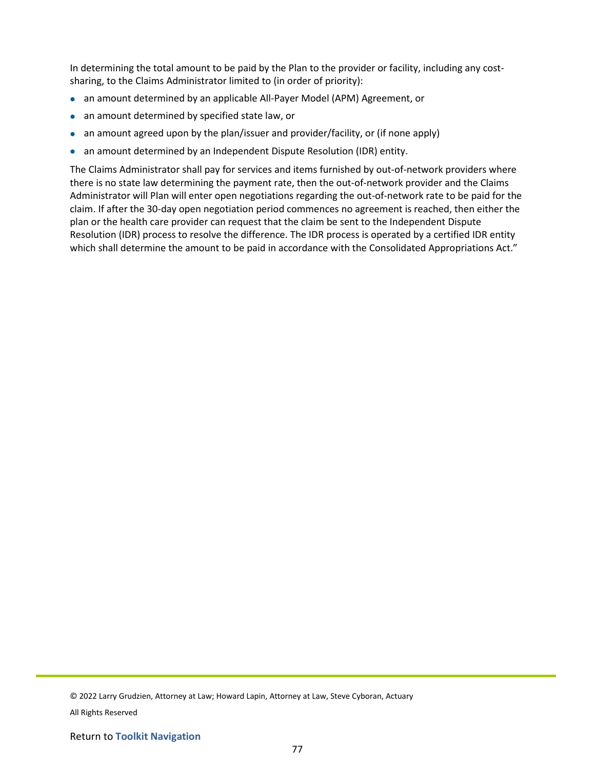In determining the total amount to be paid by the Plan to the provider or facility, including any costsharing, to the Claims Administrator limited to (in order of priority):

- an amount determined by an applicable All-Payer Model (APM) Agreement, or
- an amount determined by specified state law, or
- an amount agreed upon by the plan/issuer and provider/facility, or (if none apply)
- an amount determined by an Independent Dispute Resolution (IDR) entity.

The Claims Administrator shall pay for services and items furnished by out-of-network providers where there is no state law determining the payment rate, then the out-of-network provider and the Claims Administrator will Plan will enter open negotiations regarding the out-of-network rate to be paid for the claim. If after the 30-day open negotiation period commences no agreement is reached, then either the plan or the health care provider can request that the claim be sent to the Independent Dispute Resolution (IDR) process to resolve the difference. The IDR process is operated by a certified IDR entity which shall determine the amount to be paid in accordance with the Consolidated Appropriations Act."

<sup>© 2022</sup> Larry Grudzien, Attorney at Law; Howard Lapin, Attorney at Law, Steve Cyboran, Actuary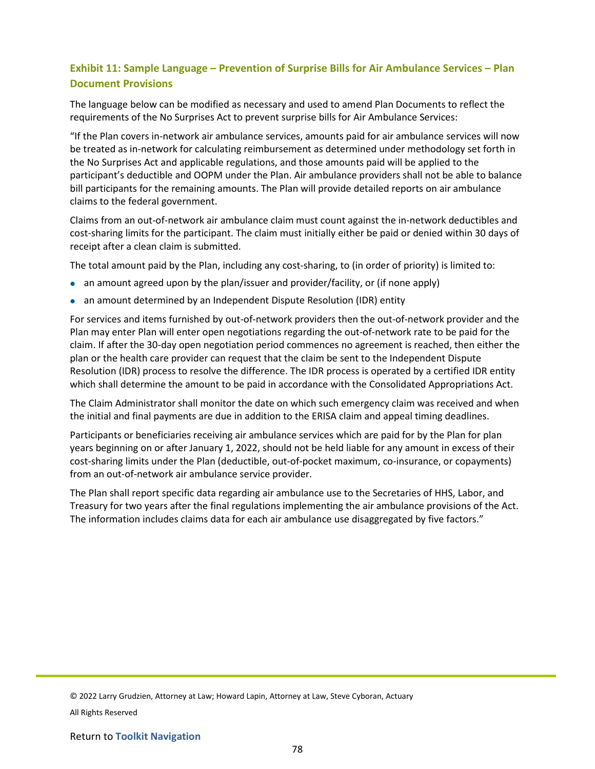# **Exhibit 11: Sample Language – Prevention of Surprise Bills for Air Ambulance Services – Plan Document Provisions**

The language below can be modified as necessary and used to amend Plan Documents to reflect the requirements of the No Surprises Act to prevent surprise bills for Air Ambulance Services:

"If the Plan covers in-network air ambulance services, amounts paid for air ambulance services will now be treated as in-network for calculating reimbursement as determined under methodology set forth in the No Surprises Act and applicable regulations, and those amounts paid will be applied to the participant's deductible and OOPM under the Plan. Air ambulance providers shall not be able to balance bill participants for the remaining amounts. The Plan will provide detailed reports on air ambulance claims to the federal government.

Claims from an out-of-network air ambulance claim must count against the in-network deductibles and cost-sharing limits for the participant. The claim must initially either be paid or denied within 30 days of receipt after a clean claim is submitted.

The total amount paid by the Plan, including any cost-sharing, to (in order of priority) is limited to:

- an amount agreed upon by the plan/issuer and provider/facility, or (if none apply)
- an amount determined by an Independent Dispute Resolution (IDR) entity

For services and items furnished by out-of-network providers then the out-of-network provider and the Plan may enter Plan will enter open negotiations regarding the out-of-network rate to be paid for the claim. If after the 30-day open negotiation period commences no agreement is reached, then either the plan or the health care provider can request that the claim be sent to the Independent Dispute Resolution (IDR) process to resolve the difference. The IDR process is operated by a certified IDR entity which shall determine the amount to be paid in accordance with the Consolidated Appropriations Act.

The Claim Administrator shall monitor the date on which such emergency claim was received and when the initial and final payments are due in addition to the ERISA claim and appeal timing deadlines.

Participants or beneficiaries receiving air ambulance services which are paid for by the Plan for plan years beginning on or after January 1, 2022, should not be held liable for any amount in excess of their cost-sharing limits under the Plan (deductible, out-of-pocket maximum, co-insurance, or copayments) from an out-of-network air ambulance service provider.

The Plan shall report specific data regarding air ambulance use to the Secretaries of HHS, Labor, and Treasury for two years after the final regulations implementing the air ambulance provisions of the Act. The information includes claims data for each air ambulance use disaggregated by five factors."

<sup>© 2022</sup> Larry Grudzien, Attorney at Law; Howard Lapin, Attorney at Law, Steve Cyboran, Actuary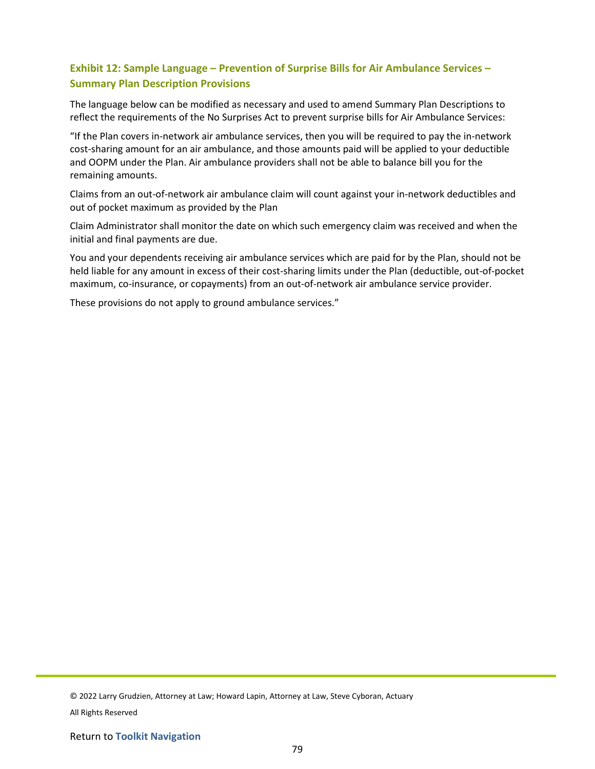# **Exhibit 12: Sample Language – Prevention of Surprise Bills for Air Ambulance Services – Summary Plan Description Provisions**

The language below can be modified as necessary and used to amend Summary Plan Descriptions to reflect the requirements of the No Surprises Act to prevent surprise bills for Air Ambulance Services:

"If the Plan covers in-network air ambulance services, then you will be required to pay the in-network cost-sharing amount for an air ambulance, and those amounts paid will be applied to your deductible and OOPM under the Plan. Air ambulance providers shall not be able to balance bill you for the remaining amounts.

Claims from an out-of-network air ambulance claim will count against your in-network deductibles and out of pocket maximum as provided by the Plan

Claim Administrator shall monitor the date on which such emergency claim was received and when the initial and final payments are due.

You and your dependents receiving air ambulance services which are paid for by the Plan, should not be held liable for any amount in excess of their cost-sharing limits under the Plan (deductible, out-of-pocket maximum, co-insurance, or copayments) from an out-of-network air ambulance service provider.

These provisions do not apply to ground ambulance services."

© 2022 Larry Grudzien, Attorney at Law; Howard Lapin, Attorney at Law, Steve Cyboran, Actuary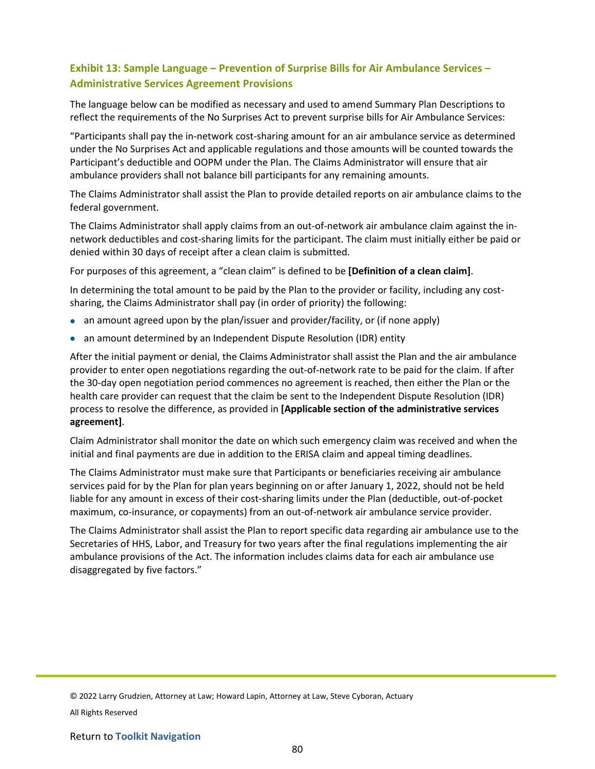# **Exhibit 13: Sample Language – Prevention of Surprise Bills for Air Ambulance Services – Administrative Services Agreement Provisions**

The language below can be modified as necessary and used to amend Summary Plan Descriptions to reflect the requirements of the No Surprises Act to prevent surprise bills for Air Ambulance Services:

"Participants shall pay the in-network cost-sharing amount for an air ambulance service as determined under the No Surprises Act and applicable regulations and those amounts will be counted towards the Participant's deductible and OOPM under the Plan. The Claims Administrator will ensure that air ambulance providers shall not balance bill participants for any remaining amounts.

The Claims Administrator shall assist the Plan to provide detailed reports on air ambulance claims to the federal government.

The Claims Administrator shall apply claims from an out-of-network air ambulance claim against the innetwork deductibles and cost-sharing limits for the participant. The claim must initially either be paid or denied within 30 days of receipt after a clean claim is submitted.

For purposes of this agreement, a "clean claim" is defined to be **[Definition of a clean claim]**.

In determining the total amount to be paid by the Plan to the provider or facility, including any costsharing, the Claims Administrator shall pay (in order of priority) the following:

- an amount agreed upon by the plan/issuer and provider/facility, or (if none apply)
- an amount determined by an Independent Dispute Resolution (IDR) entity

After the initial payment or denial, the Claims Administrator shall assist the Plan and the air ambulance provider to enter open negotiations regarding the out-of-network rate to be paid for the claim. If after the 30-day open negotiation period commences no agreement is reached, then either the Plan or the health care provider can request that the claim be sent to the Independent Dispute Resolution (IDR) process to resolve the difference, as provided in **[Applicable section of the administrative services agreement]**.

Claim Administrator shall monitor the date on which such emergency claim was received and when the initial and final payments are due in addition to the ERISA claim and appeal timing deadlines.

The Claims Administrator must make sure that Participants or beneficiaries receiving air ambulance services paid for by the Plan for plan years beginning on or after January 1, 2022, should not be held liable for any amount in excess of their cost-sharing limits under the Plan (deductible, out-of-pocket maximum, co-insurance, or copayments) from an out-of-network air ambulance service provider.

The Claims Administrator shall assist the Plan to report specific data regarding air ambulance use to the Secretaries of HHS, Labor, and Treasury for two years after the final regulations implementing the air ambulance provisions of the Act. The information includes claims data for each air ambulance use disaggregated by five factors."

<sup>© 2022</sup> Larry Grudzien, Attorney at Law; Howard Lapin, Attorney at Law, Steve Cyboran, Actuary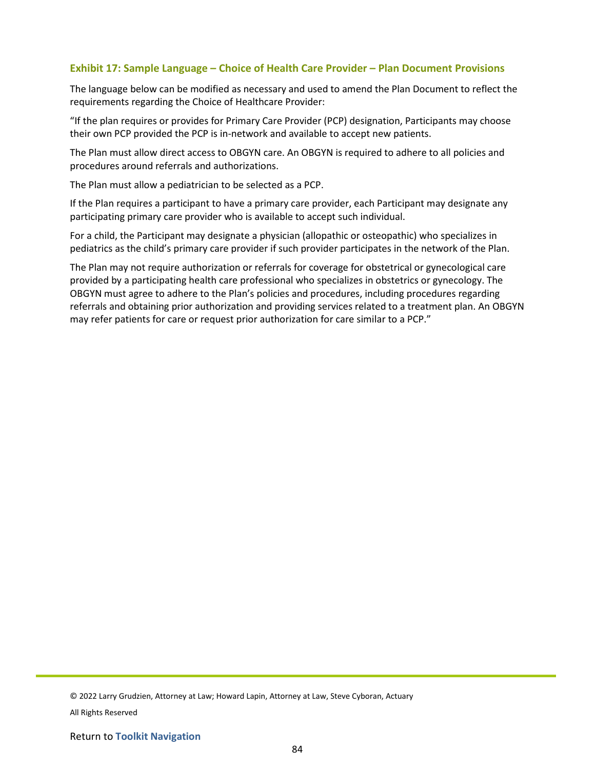#### **Exhibit 17: Sample Language – Choice of Health Care Provider – Plan Document Provisions**

The language below can be modified as necessary and used to amend the Plan Document to reflect the requirements regarding the Choice of Healthcare Provider:

"If the plan requires or provides for Primary Care Provider (PCP) designation, Participants may choose their own PCP provided the PCP is in-network and available to accept new patients.

The Plan must allow direct access to OBGYN care. An OBGYN is required to adhere to all policies and procedures around referrals and authorizations.

The Plan must allow a pediatrician to be selected as a PCP.

If the Plan requires a participant to have a primary care provider, each Participant may designate any participating primary care provider who is available to accept such individual.

For a child, the Participant may designate a physician (allopathic or osteopathic) who specializes in pediatrics as the child's primary care provider if such provider participates in the network of the Plan.

The Plan may not require authorization or referrals for coverage for obstetrical or gynecological care provided by a participating health care professional who specializes in obstetrics or gynecology. The OBGYN must agree to adhere to the Plan's policies and procedures, including procedures regarding referrals and obtaining prior authorization and providing services related to a treatment plan. An OBGYN may refer patients for care or request prior authorization for care similar to a PCP."

© 2022 Larry Grudzien, Attorney at Law; Howard Lapin, Attorney at Law, Steve Cyboran, Actuary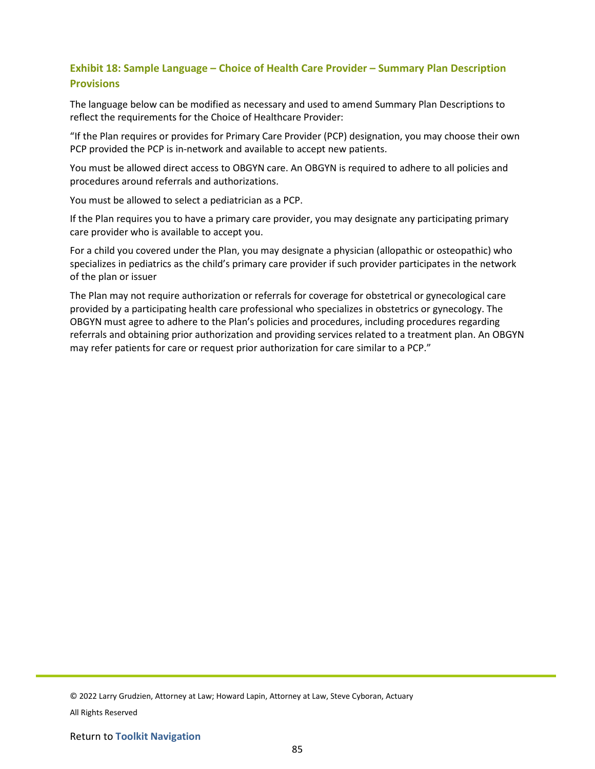# **Exhibit 18: Sample Language – Choice of Health Care Provider – Summary Plan Description Provisions**

The language below can be modified as necessary and used to amend Summary Plan Descriptions to reflect the requirements for the Choice of Healthcare Provider:

"If the Plan requires or provides for Primary Care Provider (PCP) designation, you may choose their own PCP provided the PCP is in-network and available to accept new patients.

You must be allowed direct access to OBGYN care. An OBGYN is required to adhere to all policies and procedures around referrals and authorizations.

You must be allowed to select a pediatrician as a PCP.

If the Plan requires you to have a primary care provider, you may designate any participating primary care provider who is available to accept you.

For a child you covered under the Plan, you may designate a physician (allopathic or osteopathic) who specializes in pediatrics as the child's primary care provider if such provider participates in the network of the plan or issuer

The Plan may not require authorization or referrals for coverage for obstetrical or gynecological care provided by a participating health care professional who specializes in obstetrics or gynecology. The OBGYN must agree to adhere to the Plan's policies and procedures, including procedures regarding referrals and obtaining prior authorization and providing services related to a treatment plan. An OBGYN may refer patients for care or request prior authorization for care similar to a PCP."

© 2022 Larry Grudzien, Attorney at Law; Howard Lapin, Attorney at Law, Steve Cyboran, Actuary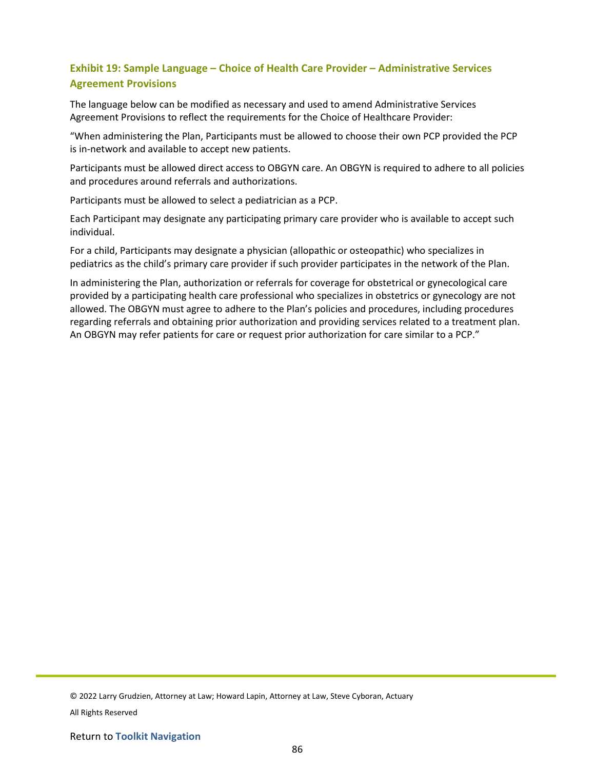# **Exhibit 19: Sample Language – Choice of Health Care Provider – Administrative Services Agreement Provisions**

The language below can be modified as necessary and used to amend Administrative Services Agreement Provisions to reflect the requirements for the Choice of Healthcare Provider:

"When administering the Plan, Participants must be allowed to choose their own PCP provided the PCP is in-network and available to accept new patients.

Participants must be allowed direct access to OBGYN care. An OBGYN is required to adhere to all policies and procedures around referrals and authorizations.

Participants must be allowed to select a pediatrician as a PCP.

Each Participant may designate any participating primary care provider who is available to accept such individual.

For a child, Participants may designate a physician (allopathic or osteopathic) who specializes in pediatrics as the child's primary care provider if such provider participates in the network of the Plan.

In administering the Plan, authorization or referrals for coverage for obstetrical or gynecological care provided by a participating health care professional who specializes in obstetrics or gynecology are not allowed. The OBGYN must agree to adhere to the Plan's policies and procedures, including procedures regarding referrals and obtaining prior authorization and providing services related to a treatment plan. An OBGYN may refer patients for care or request prior authorization for care similar to a PCP."

© 2022 Larry Grudzien, Attorney at Law; Howard Lapin, Attorney at Law, Steve Cyboran, Actuary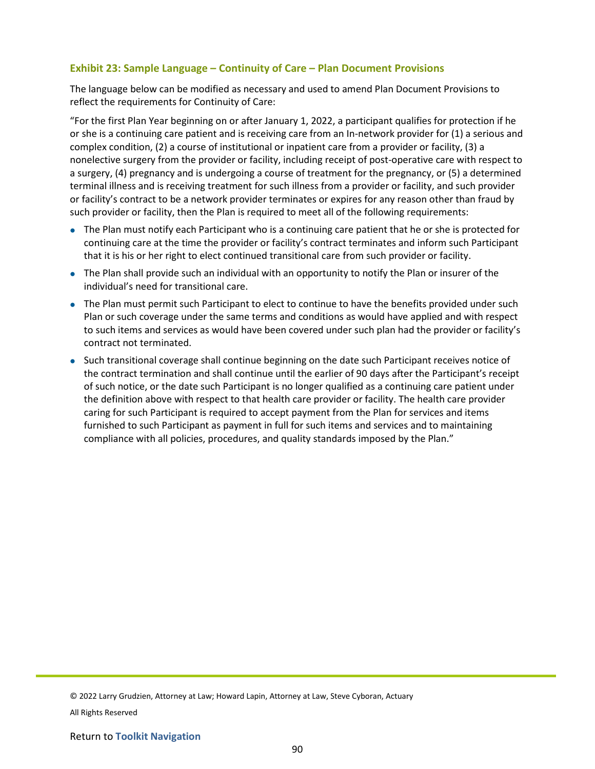## **Exhibit 23: Sample Language – Continuity of Care – Plan Document Provisions**

The language below can be modified as necessary and used to amend Plan Document Provisions to reflect the requirements for Continuity of Care:

"For the first Plan Year beginning on or after January 1, 2022, a participant qualifies for protection if he or she is a continuing care patient and is receiving care from an In-network provider for (1) a serious and complex condition, (2) a course of institutional or inpatient care from a provider or facility, (3) a nonelective surgery from the provider or facility, including receipt of post-operative care with respect to a surgery, (4) pregnancy and is undergoing a course of treatment for the pregnancy, or (5) a determined terminal illness and is receiving treatment for such illness from a provider or facility, and such provider or facility's contract to be a network provider terminates or expires for any reason other than fraud by such provider or facility, then the Plan is required to meet all of the following requirements:

- The Plan must notify each Participant who is a continuing care patient that he or she is protected for continuing care at the time the provider or facility's contract terminates and inform such Participant that it is his or her right to elect continued transitional care from such provider or facility.
- The Plan shall provide such an individual with an opportunity to notify the Plan or insurer of the individual's need for transitional care.
- The Plan must permit such Participant to elect to continue to have the benefits provided under such Plan or such coverage under the same terms and conditions as would have applied and with respect to such items and services as would have been covered under such plan had the provider or facility's contract not terminated.
- Such transitional coverage shall continue beginning on the date such Participant receives notice of the contract termination and shall continue until the earlier of 90 days after the Participant's receipt of such notice, or the date such Participant is no longer qualified as a continuing care patient under the definition above with respect to that health care provider or facility. The health care provider caring for such Participant is required to accept payment from the Plan for services and items furnished to such Participant as payment in full for such items and services and to maintaining compliance with all policies, procedures, and quality standards imposed by the Plan."

© 2022 Larry Grudzien, Attorney at Law; Howard Lapin, Attorney at Law, Steve Cyboran, Actuary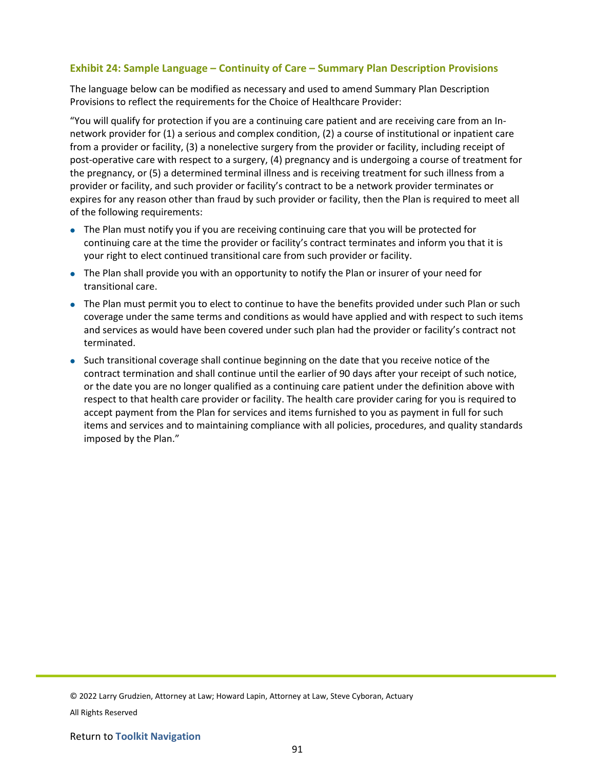## **Exhibit 24: Sample Language – Continuity of Care – Summary Plan Description Provisions**

The language below can be modified as necessary and used to amend Summary Plan Description Provisions to reflect the requirements for the Choice of Healthcare Provider:

"You will qualify for protection if you are a continuing care patient and are receiving care from an Innetwork provider for (1) a serious and complex condition, (2) a course of institutional or inpatient care from a provider or facility, (3) a nonelective surgery from the provider or facility, including receipt of post-operative care with respect to a surgery, (4) pregnancy and is undergoing a course of treatment for the pregnancy, or (5) a determined terminal illness and is receiving treatment for such illness from a provider or facility, and such provider or facility's contract to be a network provider terminates or expires for any reason other than fraud by such provider or facility, then the Plan is required to meet all of the following requirements:

- The Plan must notify you if you are receiving continuing care that you will be protected for continuing care at the time the provider or facility's contract terminates and inform you that it is your right to elect continued transitional care from such provider or facility.
- The Plan shall provide you with an opportunity to notify the Plan or insurer of your need for transitional care.
- The Plan must permit you to elect to continue to have the benefits provided under such Plan or such coverage under the same terms and conditions as would have applied and with respect to such items and services as would have been covered under such plan had the provider or facility's contract not terminated.
- Such transitional coverage shall continue beginning on the date that you receive notice of the contract termination and shall continue until the earlier of 90 days after your receipt of such notice, or the date you are no longer qualified as a continuing care patient under the definition above with respect to that health care provider or facility. The health care provider caring for you is required to accept payment from the Plan for services and items furnished to you as payment in full for such items and services and to maintaining compliance with all policies, procedures, and quality standards imposed by the Plan."

© 2022 Larry Grudzien, Attorney at Law; Howard Lapin, Attorney at Law, Steve Cyboran, Actuary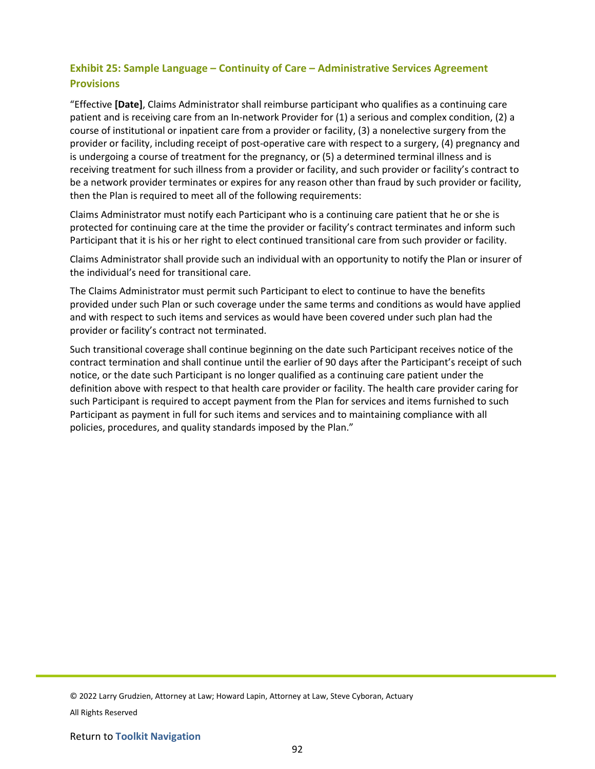# **Exhibit 25: Sample Language – Continuity of Care – Administrative Services Agreement Provisions**

"Effective **[Date]**, Claims Administrator shall reimburse participant who qualifies as a continuing care patient and is receiving care from an In-network Provider for (1) a serious and complex condition, (2) a course of institutional or inpatient care from a provider or facility, (3) a nonelective surgery from the provider or facility, including receipt of post-operative care with respect to a surgery, (4) pregnancy and is undergoing a course of treatment for the pregnancy, or (5) a determined terminal illness and is receiving treatment for such illness from a provider or facility, and such provider or facility's contract to be a network provider terminates or expires for any reason other than fraud by such provider or facility, then the Plan is required to meet all of the following requirements:

Claims Administrator must notify each Participant who is a continuing care patient that he or she is protected for continuing care at the time the provider or facility's contract terminates and inform such Participant that it is his or her right to elect continued transitional care from such provider or facility.

Claims Administrator shall provide such an individual with an opportunity to notify the Plan or insurer of the individual's need for transitional care.

The Claims Administrator must permit such Participant to elect to continue to have the benefits provided under such Plan or such coverage under the same terms and conditions as would have applied and with respect to such items and services as would have been covered under such plan had the provider or facility's contract not terminated.

Such transitional coverage shall continue beginning on the date such Participant receives notice of the contract termination and shall continue until the earlier of 90 days after the Participant's receipt of such notice, or the date such Participant is no longer qualified as a continuing care patient under the definition above with respect to that health care provider or facility. The health care provider caring for such Participant is required to accept payment from the Plan for services and items furnished to such Participant as payment in full for such items and services and to maintaining compliance with all policies, procedures, and quality standards imposed by the Plan."

© 2022 Larry Grudzien, Attorney at Law; Howard Lapin, Attorney at Law, Steve Cyboran, Actuary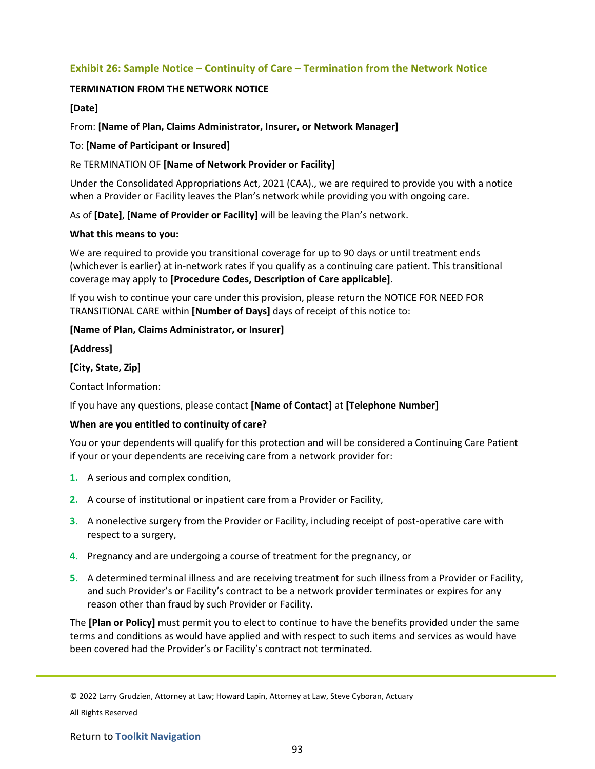## **Exhibit 26: Sample Notice – Continuity of Care – Termination from the Network Notice**

## **TERMINATION FROM THE NETWORK NOTICE**

## **[Date]**

## From: **[Name of Plan, Claims Administrator, Insurer, or Network Manager]**

## To: **[Name of Participant or Insured]**

## Re TERMINATION OF **[Name of Network Provider or Facility]**

Under the Consolidated Appropriations Act, 2021 (CAA)., we are required to provide you with a notice when a Provider or Facility leaves the Plan's network while providing you with ongoing care.

As of **[Date]**, **[Name of Provider or Facility]** will be leaving the Plan's network.

#### **What this means to you:**

We are required to provide you transitional coverage for up to 90 days or until treatment ends (whichever is earlier) at in-network rates if you qualify as a continuing care patient. This transitional coverage may apply to **[Procedure Codes, Description of Care applicable]**.

If you wish to continue your care under this provision, please return the NOTICE FOR NEED FOR TRANSITIONAL CARE within **[Number of Days]** days of receipt of this notice to:

## **[Name of Plan, Claims Administrator, or Insurer]**

**[Address]**

#### **[City, State, Zip]**

Contact Information:

## If you have any questions, please contact **[Name of Contact]** at **[Telephone Number]**

#### **When are you entitled to continuity of care?**

You or your dependents will qualify for this protection and will be considered a Continuing Care Patient if your or your dependents are receiving care from a network provider for:

- **1.** A serious and complex condition,
- **2.** A course of institutional or inpatient care from a Provider or Facility,
- **3.** A nonelective surgery from the Provider or Facility, including receipt of post-operative care with respect to a surgery,
- **4.** Pregnancy and are undergoing a course of treatment for the pregnancy, or
- **5.** A determined terminal illness and are receiving treatment for such illness from a Provider or Facility, and such Provider's or Facility's contract to be a network provider terminates or expires for any reason other than fraud by such Provider or Facility.

The **[Plan or Policy]** must permit you to elect to continue to have the benefits provided under the same terms and conditions as would have applied and with respect to such items and services as would have been covered had the Provider's or Facility's contract not terminated.

© 2022 Larry Grudzien, Attorney at Law; Howard Lapin, Attorney at Law, Steve Cyboran, Actuary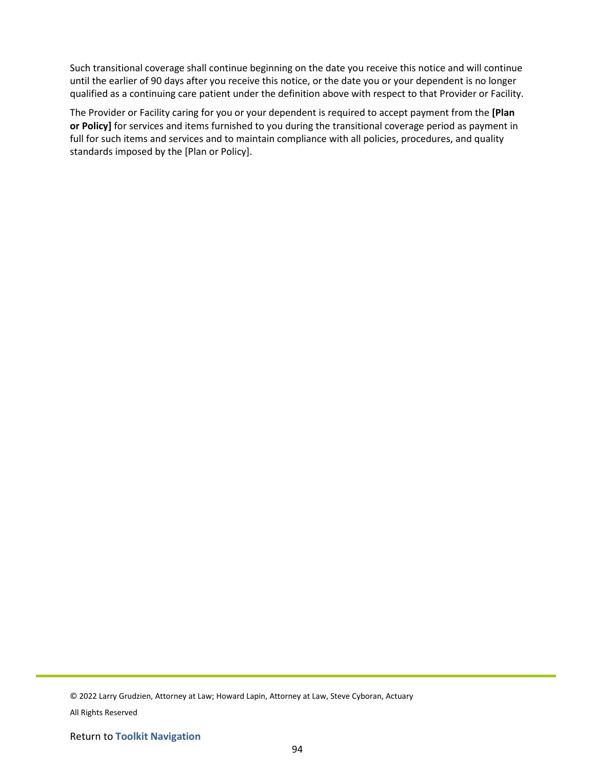Such transitional coverage shall continue beginning on the date you receive this notice and will continue until the earlier of 90 days after you receive this notice, or the date you or your dependent is no longer qualified as a continuing care patient under the definition above with respect to that Provider or Facility.

The Provider or Facility caring for you or your dependent is required to accept payment from the **[Plan or Policy]** for services and items furnished to you during the transitional coverage period as payment in full for such items and services and to maintain compliance with all policies, procedures, and quality standards imposed by the [Plan or Policy].

© 2022 Larry Grudzien, Attorney at Law; Howard Lapin, Attorney at Law, Steve Cyboran, Actuary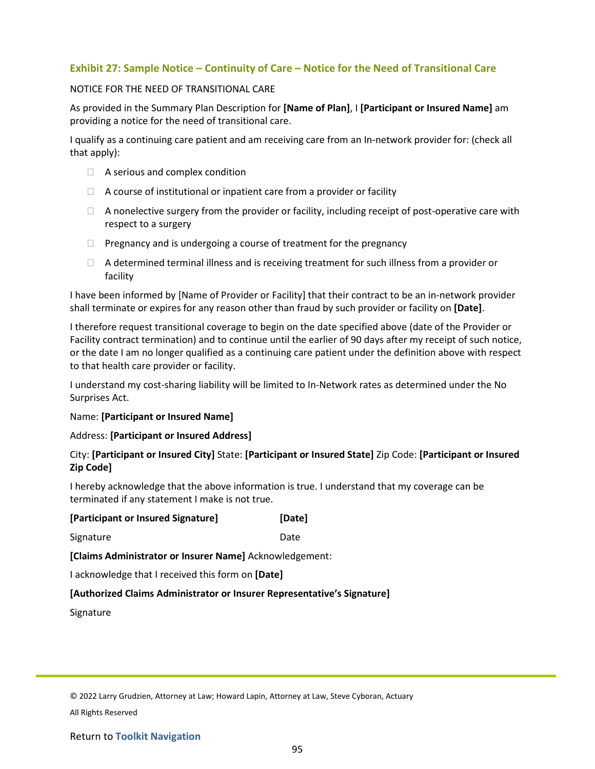## **Exhibit 27: Sample Notice – Continuity of Care – Notice for the Need of Transitional Care**

#### NOTICE FOR THE NEED OF TRANSITIONAL CARE

As provided in the Summary Plan Description for **[Name of Plan]**, I **[Participant or Insured Name]** am providing a notice for the need of transitional care.

I qualify as a continuing care patient and am receiving care from an In-network provider for: (check all that apply):

- $\Box$  A serious and complex condition
- $\Box$  A course of institutional or inpatient care from a provider or facility
- $\Box$  A nonelective surgery from the provider or facility, including receipt of post-operative care with respect to a surgery
- $\Box$  Pregnancy and is undergoing a course of treatment for the pregnancy
- $\Box$  A determined terminal illness and is receiving treatment for such illness from a provider or facility

I have been informed by [Name of Provider or Facility] that their contract to be an in-network provider shall terminate or expires for any reason other than fraud by such provider or facility on **[Date]**.

I therefore request transitional coverage to begin on the date specified above (date of the Provider or Facility contract termination) and to continue until the earlier of 90 days after my receipt of such notice, or the date I am no longer qualified as a continuing care patient under the definition above with respect to that health care provider or facility.

I understand my cost-sharing liability will be limited to In-Network rates as determined under the No Surprises Act.

#### Name: **[Participant or Insured Name]**

#### Address: **[Participant or Insured Address]**

#### City: **[Participant or Insured City]** State: **[Participant or Insured State]** Zip Code: **[Participant or Insured Zip Code]**

I hereby acknowledge that the above information is true. I understand that my coverage can be terminated if any statement I make is not true.

| [Participant or Insured Signature] | [Date] |
|------------------------------------|--------|
| Signature                          | Date   |

**[Claims Administrator or Insurer Name]** Acknowledgement:

I acknowledge that I received this form on **[Date]**

#### **[Authorized Claims Administrator or Insurer Representative's Signature]**

Signature

© 2022 Larry Grudzien, Attorney at Law; Howard Lapin, Attorney at Law, Steve Cyboran, Actuary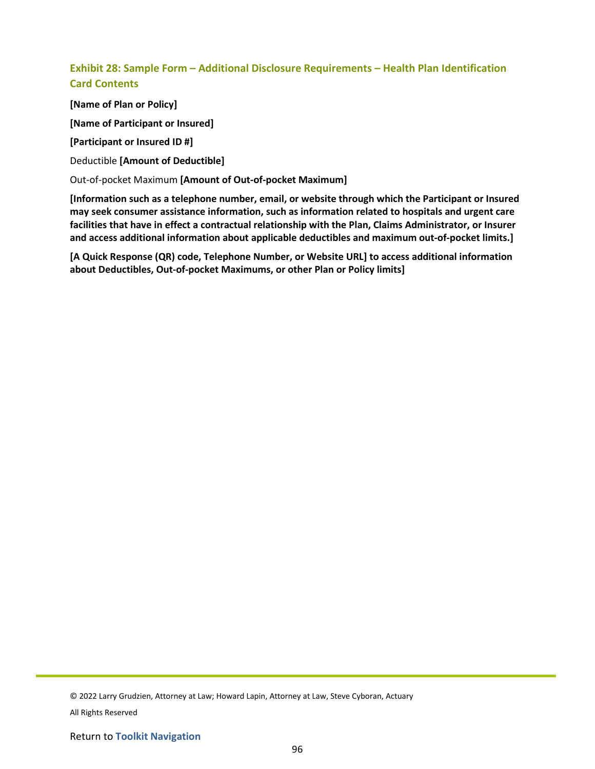# **Exhibit 28: Sample Form – Additional Disclosure Requirements – Health Plan Identification Card Contents**

**[Name of Plan or Policy]**

**[Name of Participant or Insured]**

**[Participant or Insured ID #]**

Deductible **[Amount of Deductible]**

Out-of-pocket Maximum **[Amount of Out-of-pocket Maximum]**

**[Information such as a telephone number, email, or website through which the Participant or Insured may seek consumer assistance information, such as information related to hospitals and urgent care facilities that have in effect a contractual relationship with the Plan, Claims Administrator, or Insurer and access additional information about applicable deductibles and maximum out-of-pocket limits.]** 

**[A Quick Response (QR) code, Telephone Number, or Website URL] to access additional information about Deductibles, Out-of-pocket Maximums, or other Plan or Policy limits]**

© 2022 Larry Grudzien, Attorney at Law; Howard Lapin, Attorney at Law, Steve Cyboran, Actuary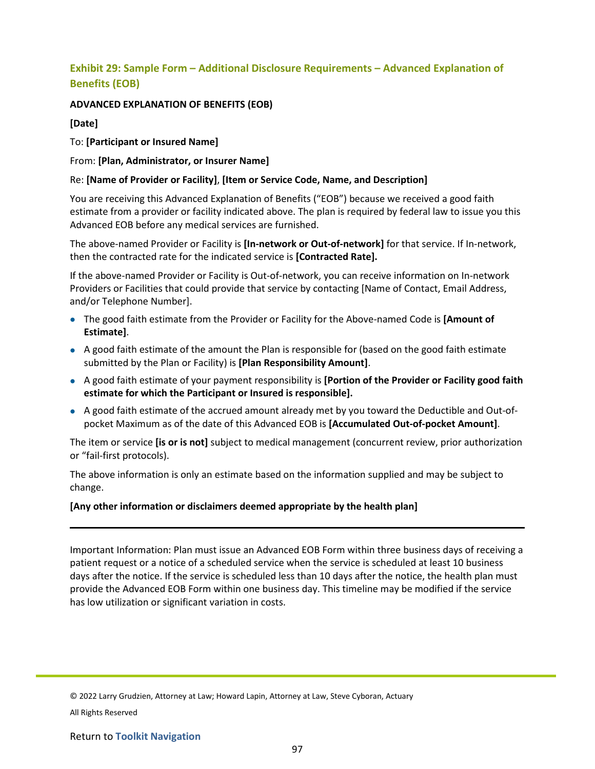# **Exhibit 29: Sample Form – Additional Disclosure Requirements – Advanced Explanation of Benefits (EOB)**

## **ADVANCED EXPLANATION OF BENEFITS (EOB)**

## **[Date]**

To: **[Participant or Insured Name]**

From: **[Plan, Administrator, or Insurer Name]**

## Re: **[Name of Provider or Facility]**, **[Item or Service Code, Name, and Description]**

You are receiving this Advanced Explanation of Benefits ("EOB") because we received a good faith estimate from a provider or facility indicated above. The plan is required by federal law to issue you this Advanced EOB before any medical services are furnished.

The above-named Provider or Facility is **[In-network or Out-of-network]** for that service. If In-network, then the contracted rate for the indicated service is **[Contracted Rate].**

If the above-named Provider or Facility is Out-of-network, you can receive information on In-network Providers or Facilities that could provide that service by contacting [Name of Contact, Email Address, and/or Telephone Number].

- The good faith estimate from the Provider or Facility for the Above-named Code is **[Amount of Estimate]**.
- A good faith estimate of the amount the Plan is responsible for (based on the good faith estimate submitted by the Plan or Facility) is **[Plan Responsibility Amount]**.
- A good faith estimate of your payment responsibility is **[Portion of the Provider or Facility good faith estimate for which the Participant or Insured is responsible].**
- A good faith estimate of the accrued amount already met by you toward the Deductible and Out-ofpocket Maximum as of the date of this Advanced EOB is **[Accumulated Out-of-pocket Amount]**.

The item or service **[is or is not]** subject to medical management (concurrent review, prior authorization or "fail-first protocols).

The above information is only an estimate based on the information supplied and may be subject to change.

#### **[Any other information or disclaimers deemed appropriate by the health plan]**

Important Information: Plan must issue an Advanced EOB Form within three business days of receiving a patient request or a notice of a scheduled service when the service is scheduled at least 10 business days after the notice. If the service is scheduled less than 10 days after the notice, the health plan must provide the Advanced EOB Form within one business day. This timeline may be modified if the service has low utilization or significant variation in costs.

© 2022 Larry Grudzien, Attorney at Law; Howard Lapin, Attorney at Law, Steve Cyboran, Actuary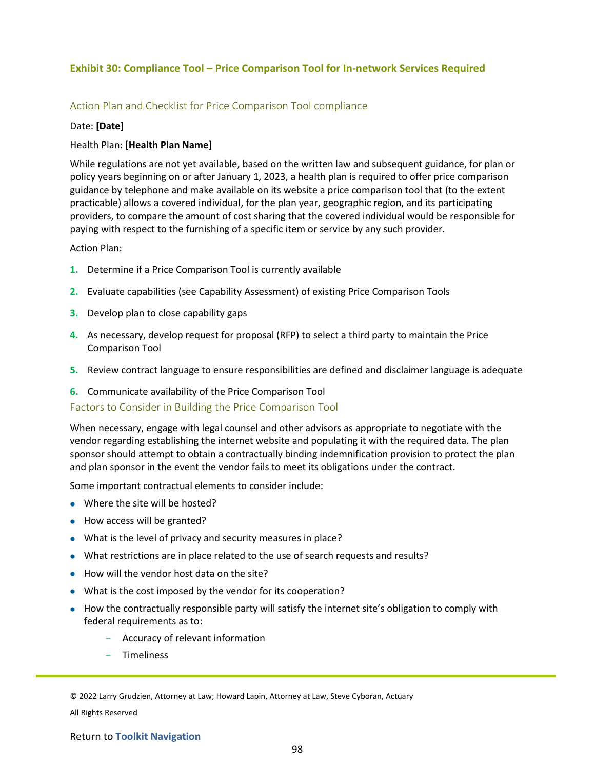## **Exhibit 30: Compliance Tool – Price Comparison Tool for In-network Services Required**

## Action Plan and Checklist for Price Comparison Tool compliance

#### Date: **[Date]**

#### Health Plan: **[Health Plan Name]**

While regulations are not yet available, based on the written law and subsequent guidance, for plan or policy years beginning on or after January 1, 2023, a health plan is required to offer price comparison guidance by telephone and make available on its website a price comparison tool that (to the extent practicable) allows a covered individual, for the plan year, geographic region, and its participating providers, to compare the amount of cost sharing that the covered individual would be responsible for paying with respect to the furnishing of a specific item or service by any such provider.

#### Action Plan:

- **1.** Determine if a Price Comparison Tool is currently available
- **2.** Evaluate capabilities (see Capability Assessment) of existing Price Comparison Tools
- **3.** Develop plan to close capability gaps
- **4.** As necessary, develop request for proposal (RFP) to select a third party to maintain the Price Comparison Tool
- **5.** Review contract language to ensure responsibilities are defined and disclaimer language is adequate
- **6.** Communicate availability of the Price Comparison Tool

#### Factors to Consider in Building the Price Comparison Tool

When necessary, engage with legal counsel and other advisors as appropriate to negotiate with the vendor regarding establishing the internet website and populating it with the required data. The plan sponsor should attempt to obtain a contractually binding indemnification provision to protect the plan and plan sponsor in the event the vendor fails to meet its obligations under the contract.

Some important contractual elements to consider include:

- Where the site will be hosted?
- How access will be granted?
- What is the level of privacy and security measures in place?
- What restrictions are in place related to the use of search requests and results?
- How will the vendor host data on the site?
- What is the cost imposed by the vendor for its cooperation?
- How the contractually responsible party will satisfy the internet site's obligation to comply with federal requirements as to:
	- Accuracy of relevant information
	- **Timeliness**

© 2022 Larry Grudzien, Attorney at Law; Howard Lapin, Attorney at Law, Steve Cyboran, Actuary

All Rights Reserved

#### Return to **Toolkit Navigation**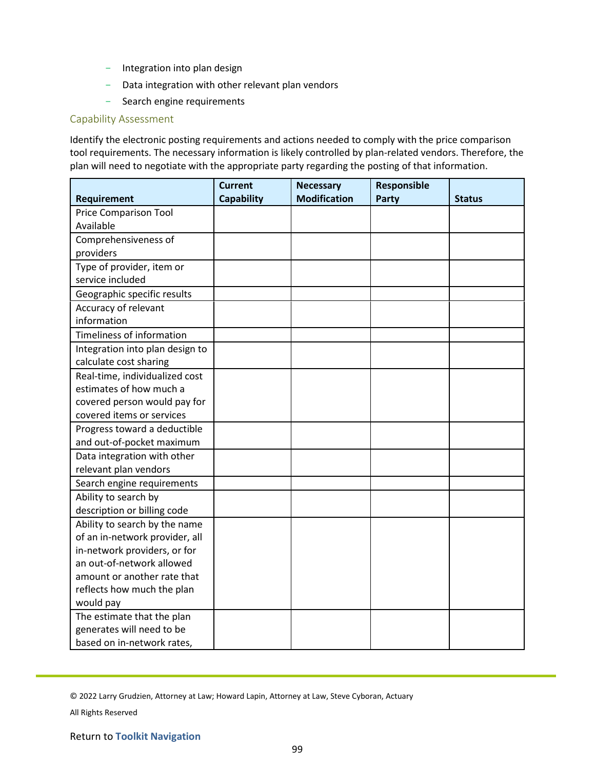- Integration into plan design
- Data integration with other relevant plan vendors
- Search engine requirements

#### Capability Assessment

Identify the electronic posting requirements and actions needed to comply with the price comparison tool requirements. The necessary information is likely controlled by plan-related vendors. Therefore, the plan will need to negotiate with the appropriate party regarding the posting of that information.

|                                 | <b>Current</b>    | <b>Necessary</b>    | Responsible |               |
|---------------------------------|-------------------|---------------------|-------------|---------------|
| Requirement                     | <b>Capability</b> | <b>Modification</b> | Party       | <b>Status</b> |
| <b>Price Comparison Tool</b>    |                   |                     |             |               |
| Available                       |                   |                     |             |               |
| Comprehensiveness of            |                   |                     |             |               |
| providers                       |                   |                     |             |               |
| Type of provider, item or       |                   |                     |             |               |
| service included                |                   |                     |             |               |
| Geographic specific results     |                   |                     |             |               |
| Accuracy of relevant            |                   |                     |             |               |
| information                     |                   |                     |             |               |
| Timeliness of information       |                   |                     |             |               |
| Integration into plan design to |                   |                     |             |               |
| calculate cost sharing          |                   |                     |             |               |
| Real-time, individualized cost  |                   |                     |             |               |
| estimates of how much a         |                   |                     |             |               |
| covered person would pay for    |                   |                     |             |               |
| covered items or services       |                   |                     |             |               |
| Progress toward a deductible    |                   |                     |             |               |
| and out-of-pocket maximum       |                   |                     |             |               |
| Data integration with other     |                   |                     |             |               |
| relevant plan vendors           |                   |                     |             |               |
| Search engine requirements      |                   |                     |             |               |
| Ability to search by            |                   |                     |             |               |
| description or billing code     |                   |                     |             |               |
| Ability to search by the name   |                   |                     |             |               |
| of an in-network provider, all  |                   |                     |             |               |
| in-network providers, or for    |                   |                     |             |               |
| an out-of-network allowed       |                   |                     |             |               |
| amount or another rate that     |                   |                     |             |               |
| reflects how much the plan      |                   |                     |             |               |
| would pay                       |                   |                     |             |               |
| The estimate that the plan      |                   |                     |             |               |
| generates will need to be       |                   |                     |             |               |
| based on in-network rates,      |                   |                     |             |               |

© 2022 Larry Grudzien, Attorney at Law; Howard Lapin, Attorney at Law, Steve Cyboran, Actuary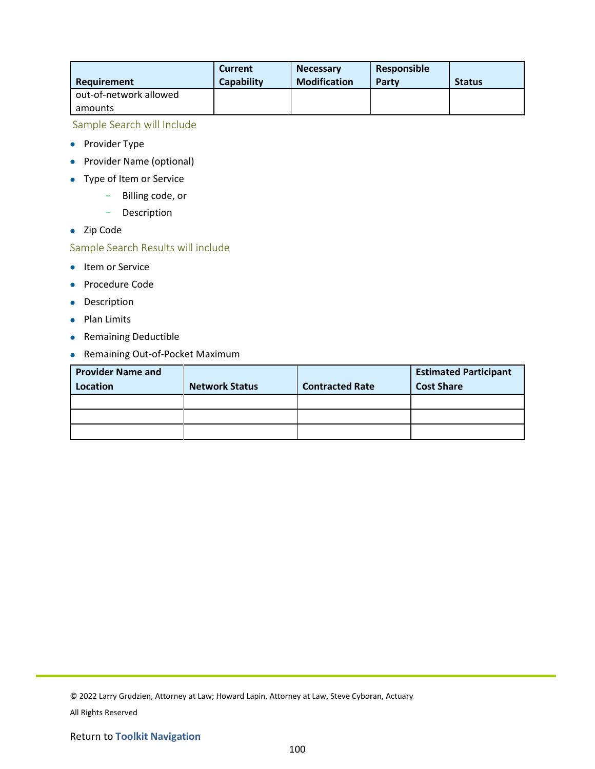| Requirement            | <b>Current</b><br><b>Capability</b> | <b>Necessary</b><br><b>Modification</b> | <b>Responsible</b><br>Party | <b>Status</b> |
|------------------------|-------------------------------------|-----------------------------------------|-----------------------------|---------------|
| out-of-network allowed |                                     |                                         |                             |               |
| amounts                |                                     |                                         |                             |               |

Sample Search will Include

- Provider Type
- Provider Name (optional)
- Type of Item or Service
	- Billing code, or
	- Description
- Zip Code

# Sample Search Results will include

- **•** Item or Service
- Procedure Code
- Description
- Plan Limits
- Remaining Deductible
- Remaining Out-of-Pocket Maximum

| <b>Provider Name and</b> |                       |                        | <b>Estimated Participant</b> |
|--------------------------|-----------------------|------------------------|------------------------------|
| Location                 | <b>Network Status</b> | <b>Contracted Rate</b> | <b>Cost Share</b>            |
|                          |                       |                        |                              |
|                          |                       |                        |                              |
|                          |                       |                        |                              |

<sup>© 2022</sup> Larry Grudzien, Attorney at Law; Howard Lapin, Attorney at Law, Steve Cyboran, Actuary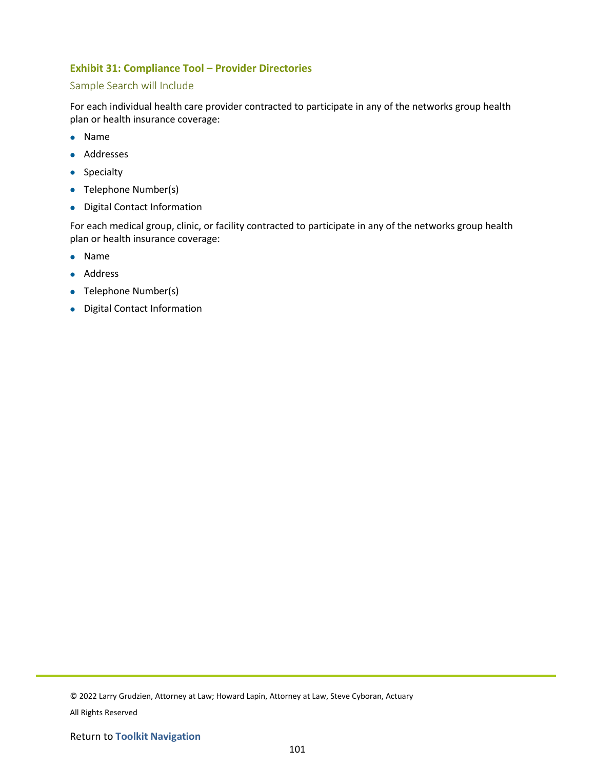## **Exhibit 31: Compliance Tool – Provider Directories**

## Sample Search will Include

For each individual health care provider contracted to participate in any of the networks group health plan or health insurance coverage:

- Name
- Addresses
- Specialty
- Telephone Number(s)
- Digital Contact Information

For each medical group, clinic, or facility contracted to participate in any of the networks group health plan or health insurance coverage:

- Name
- Address
- Telephone Number(s)
- Digital Contact Information

<sup>© 2022</sup> Larry Grudzien, Attorney at Law; Howard Lapin, Attorney at Law, Steve Cyboran, Actuary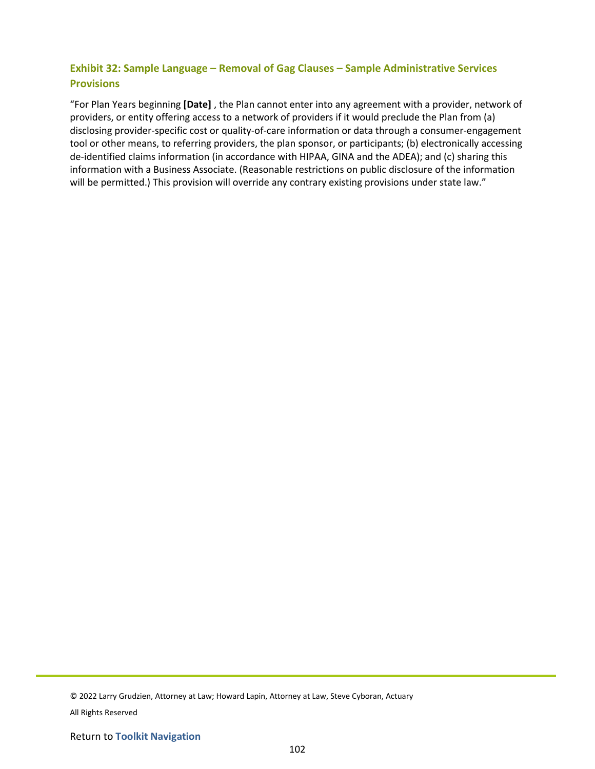# **Exhibit 32: Sample Language – Removal of Gag Clauses – Sample Administrative Services Provisions**

"For Plan Years beginning **[Date]** , the Plan cannot enter into any agreement with a provider, network of providers, or entity offering access to a network of providers if it would preclude the Plan from (a) disclosing provider-specific cost or quality-of-care information or data through a consumer-engagement tool or other means, to referring providers, the plan sponsor, or participants; (b) electronically accessing de-identified claims information (in accordance with HIPAA, GINA and the ADEA); and (c) sharing this information with a Business Associate. (Reasonable restrictions on public disclosure of the information will be permitted.) This provision will override any contrary existing provisions under state law."

© 2022 Larry Grudzien, Attorney at Law; Howard Lapin, Attorney at Law, Steve Cyboran, Actuary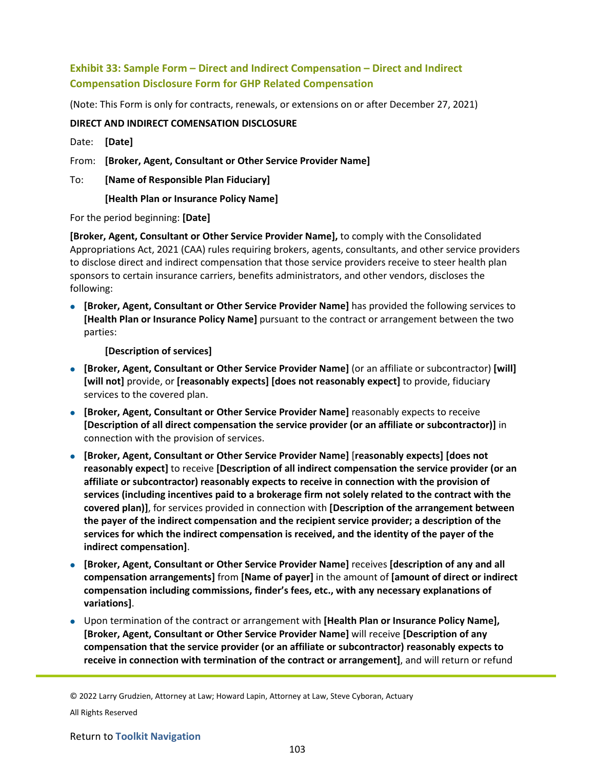# **Exhibit 33: Sample Form – Direct and Indirect Compensation – Direct and Indirect Compensation Disclosure Form for GHP Related Compensation**

(Note: This Form is only for contracts, renewals, or extensions on or after December 27, 2021)

## **DIRECT AND INDIRECT COMENSATION DISCLOSURE**

Date: **[Date]**

From: **[Broker, Agent, Consultant or Other Service Provider Name]**

To: **[Name of Responsible Plan Fiduciary]**

**[Health Plan or Insurance Policy Name]**

For the period beginning: **[Date]**

**[Broker, Agent, Consultant or Other Service Provider Name],** to comply with the Consolidated Appropriations Act, 2021 (CAA) rules requiring brokers, agents, consultants, and other service providers to disclose direct and indirect compensation that those service providers receive to steer health plan sponsors to certain insurance carriers, benefits administrators, and other vendors, discloses the following:

• **[Broker, Agent, Consultant or Other Service Provider Name]** has provided the following services to **[Health Plan or Insurance Policy Name]** pursuant to the contract or arrangement between the two parties:

**[Description of services]**

- **[Broker, Agent, Consultant or Other Service Provider Name]** (or an affiliate or subcontractor) **[will] [will not]** provide, or **[reasonably expects] [does not reasonably expect]** to provide, fiduciary services to the covered plan.
- **[Broker, Agent, Consultant or Other Service Provider Name]** reasonably expects to receive **[Description of all direct compensation the service provider (or an affiliate or subcontractor)]** in connection with the provision of services.
- **[Broker, Agent, Consultant or Other Service Provider Name]** [**reasonably expects] [does not reasonably expect]** to receive **[Description of all indirect compensation the service provider (or an affiliate or subcontractor) reasonably expects to receive in connection with the provision of services (including incentives paid to a brokerage firm not solely related to the contract with the covered plan)]**, for services provided in connection with **[Description of the arrangement between the payer of the indirect compensation and the recipient service provider; a description of the services for which the indirect compensation is received, and the identity of the payer of the indirect compensation]**.
- **[Broker, Agent, Consultant or Other Service Provider Name]** receives **[description of any and all compensation arrangements]** from **[Name of payer]** in the amount of **[amount of direct or indirect compensation including commissions, finder's fees, etc., with any necessary explanations of variations]**.
- Upon termination of the contract or arrangement with **[Health Plan or Insurance Policy Name], [Broker, Agent, Consultant or Other Service Provider Name]** will receive **[Description of any compensation that the service provider (or an affiliate or subcontractor) reasonably expects to receive in connection with termination of the contract or arrangement]**, and will return or refund

© 2022 Larry Grudzien, Attorney at Law; Howard Lapin, Attorney at Law, Steve Cyboran, Actuary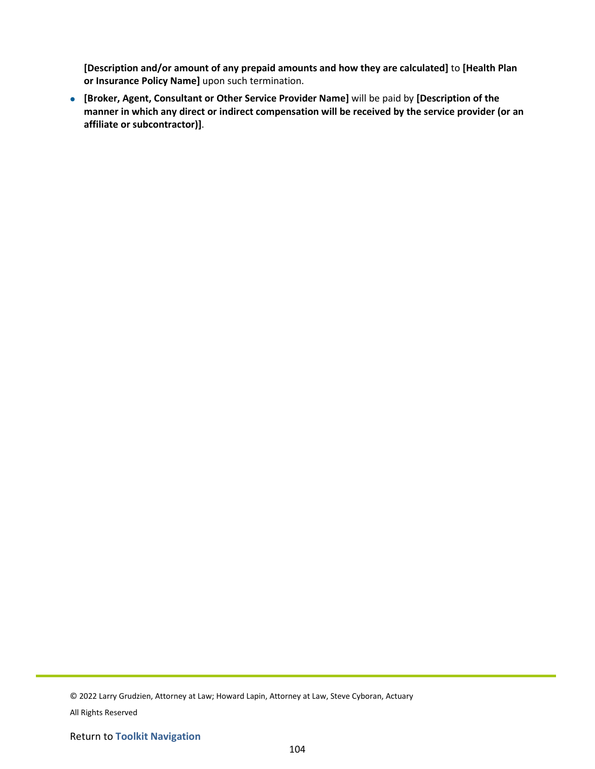**[Description and/or amount of any prepaid amounts and how they are calculated]** to **[Health Plan or Insurance Policy Name]** upon such termination.

• **[Broker, Agent, Consultant or Other Service Provider Name]** will be paid by **[Description of the manner in which any direct or indirect compensation will be received by the service provider (or an affiliate or subcontractor)]**.

© 2022 Larry Grudzien, Attorney at Law; Howard Lapin, Attorney at Law, Steve Cyboran, Actuary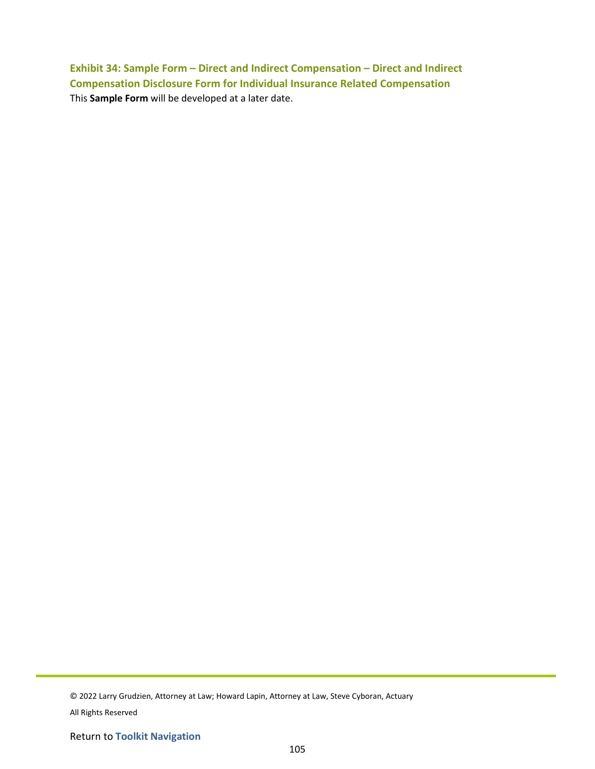**Exhibit 34: Sample Form – Direct and Indirect Compensation – Direct and Indirect Compensation Disclosure Form for Individual Insurance Related Compensation** This **Sample Form** will be developed at a later date.

© 2022 Larry Grudzien, Attorney at Law; Howard Lapin, Attorney at Law, Steve Cyboran, Actuary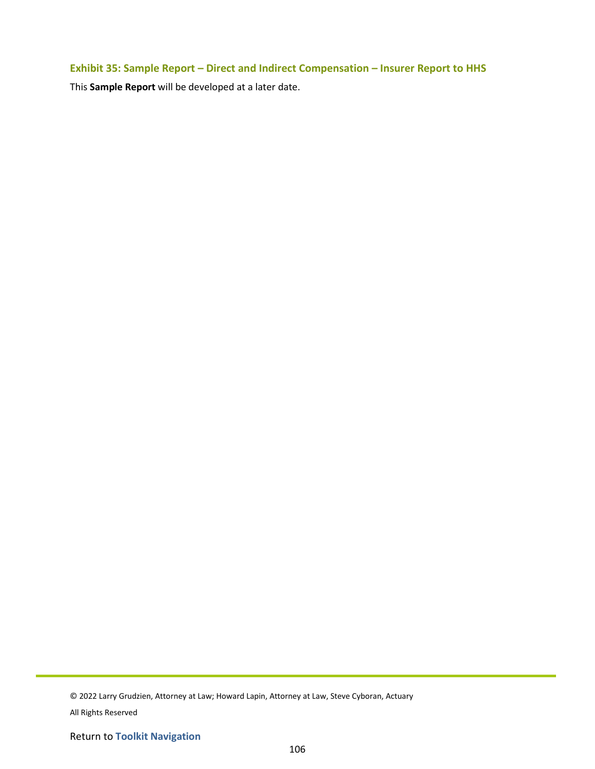# **Exhibit 35: Sample Report – Direct and Indirect Compensation – Insurer Report to HHS**

This **Sample Report** will be developed at a later date.

© 2022 Larry Grudzien, Attorney at Law; Howard Lapin, Attorney at Law, Steve Cyboran, Actuary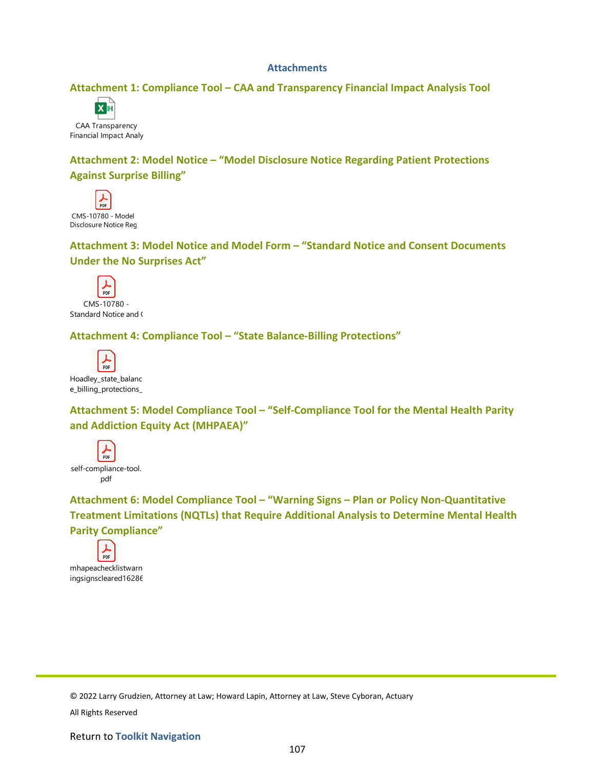#### **Attachments**

## **Attachment 1: Compliance Tool – CAA and Transparency Financial Impact Analysis Tool**



CAA Transparency Financial Impact Analy

**Attachment 2: Model Notice – "Model Disclosure Notice Regarding Patient Protections Against Surprise Billing"**

PDF CMS-10780 - Model Disclosure Notice Reg

**Attachment 3: Model Notice and Model Form – "Standard Notice and Consent Documents Under the No Surprises Act"**



# **Attachment 4: Compliance Tool – "State Balance-Billing Protections"**



**Attachment 5: Model Compliance Tool – "Self-Compliance Tool for the Mental Health Parity and Addiction Equity Act (MHPAEA)"**



**Attachment 6: Model Compliance Tool – "Warning Signs – Plan or Policy Non-Quantitative Treatment Limitations (NQTLs) that Require Additional Analysis to Determine Mental Health Parity Compliance"**



© 2022 Larry Grudzien, Attorney at Law; Howard Lapin, Attorney at Law, Steve Cyboran, Actuary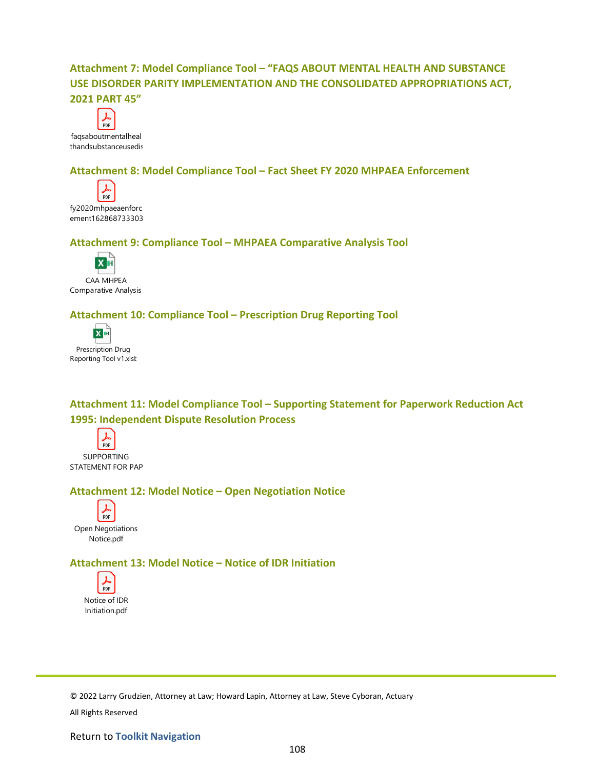# **Attachment 7: Model Compliance Tool – "FAQS ABOUT MENTAL HEALTH AND SUBSTANCE USE DISORDER PARITY IMPLEMENTATION AND THE CONSOLIDATED APPROPRIATIONS ACT, 2021 PART 45"**



## **Attachment 8: Model Compliance Tool – Fact Sheet FY 2020 MHPAEA Enforcement**



**Attachment 9: Compliance Tool – MHPAEA Comparative Analysis Tool**



CAA MHPEA Comparative Analysis

## **Attachment 10: Compliance Tool – Prescription Drug Reporting Tool**



**Attachment 11: Model Compliance Tool – Supporting Statement for Paperwork Reduction Act 1995: Independent Dispute Resolution Process**



## **Attachment 12: Model Notice – Open Negotiation Notice**



**Attachment 13: Model Notice – Notice of IDR Initiation**



© 2022 Larry Grudzien, Attorney at Law; Howard Lapin, Attorney at Law, Steve Cyboran, Actuary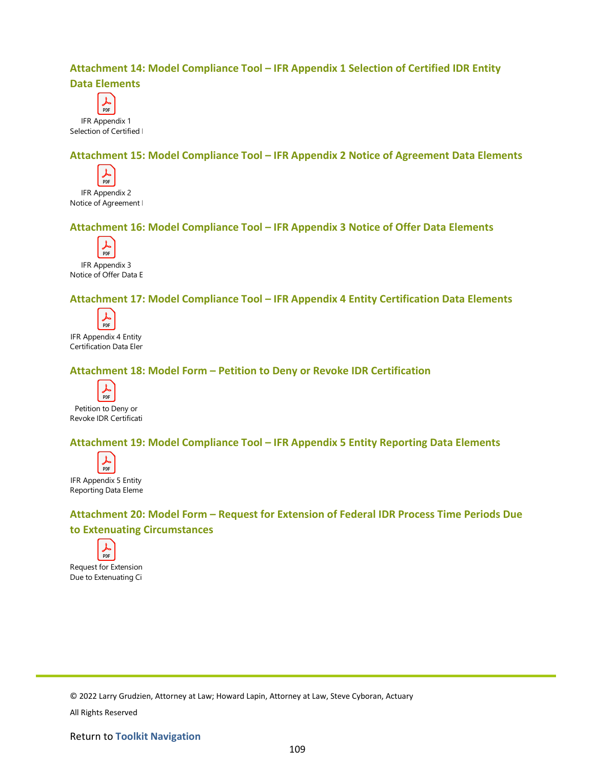## **Attachment 14: Model Compliance Tool – IFR Appendix 1 Selection of Certified IDR Entity Data Elements**



Selection of Certified I

## **Attachment 15: Model Compliance Tool – IFR Appendix 2 Notice of Agreement Data Elements**



IFR Appendix 2 Notice of Agreement I

# **Attachment 16: Model Compliance Tool – IFR Appendix 3 Notice of Offer Data Elements**



IFR Appendix 3 Notice of Offer Data E

## **Attachment 17: Model Compliance Tool – IFR Appendix 4 Entity Certification Data Elements**



IFR Appendix 4 Entity Certification Data Elem

# **Attachment 18: Model Form – Petition to Deny or Revoke IDR Certification**



Petition to Deny or Revoke IDR Certificati

## **Attachment 19: Model Compliance Tool – IFR Appendix 5 Entity Reporting Data Elements**



IFR Appendix 5 Entity Reporting Data Eleme

# **Attachment 20: Model Form – Request for Extension of Federal IDR Process Time Periods Due to Extenuating Circumstances**



Request for Extension Due to Extenuating Ci

© 2022 Larry Grudzien, Attorney at Law; Howard Lapin, Attorney at Law, Steve Cyboran, Actuary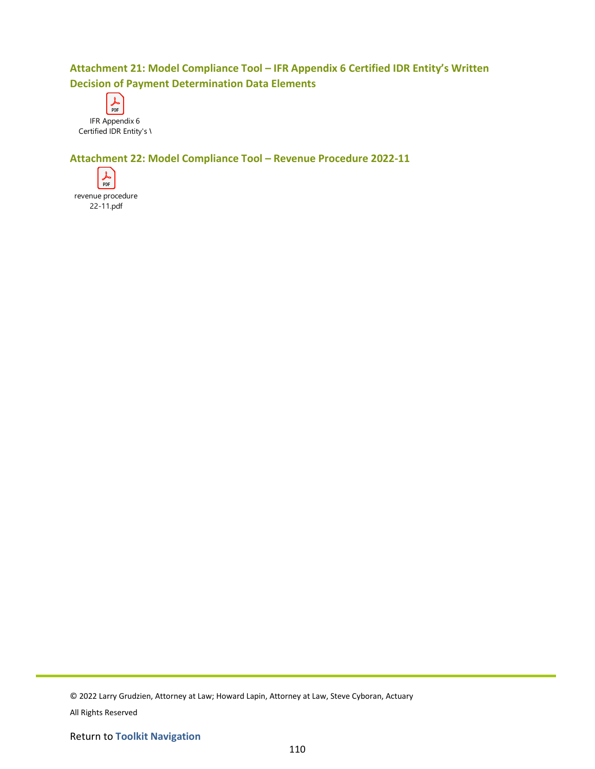# **Attachment 21: Model Compliance Tool – IFR Appendix 6 Certified IDR Entity's Written Decision of Payment Determination Data Elements**



# **Attachment 22: Model Compliance Tool – Revenue Procedure 2022-11**



© 2022 Larry Grudzien, Attorney at Law; Howard Lapin, Attorney at Law, Steve Cyboran, Actuary